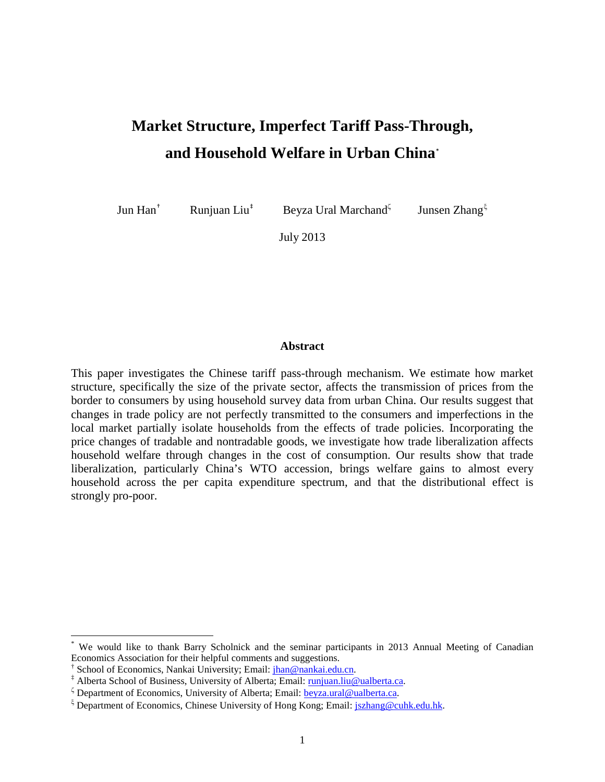# **Market Structure, Imperfect Tariff Pass-Through, and Household Welfare in Urban China**[\\*](#page-0-0)

Jun Han[†](#page-0-1)

Runjuan Liu<sup>[‡](#page-0-2)</sup> Beyza Ural Marchand<sup>ζ</sup>

Junsen Zhang $\xi$ 

July 2013

#### **Abstract**

This paper investigates the Chinese tariff pass-through mechanism. We estimate how market structure, specifically the size of the private sector, affects the transmission of prices from the border to consumers by using household survey data from urban China. Our results suggest that changes in trade policy are not perfectly transmitted to the consumers and imperfections in the local market partially isolate households from the effects of trade policies. Incorporating the price changes of tradable and nontradable goods, we investigate how trade liberalization affects household welfare through changes in the cost of consumption. Our results show that trade liberalization, particularly China's WTO accession, brings welfare gains to almost every household across the per capita expenditure spectrum, and that the distributional effect is strongly pro-poor.

<span id="page-0-0"></span>We would like to thank Barry Scholnick and the seminar participants in 2013 Annual Meeting of Canadian Economics Association for their helpful comments and suggestions.<br>
<sup>†</sup> School of Economics, Nankai University; Email:  $\frac{\hbar a_0}{\hbar a_1}$  han @nankai.edu.cn.

<span id="page-0-1"></span>

<span id="page-0-2"></span><sup>&</sup>lt;sup>‡</sup> Alberta School of Business, University of Alberta; Email: *runjuan.liu@ualberta.ca.* 

 $\zeta$  Department of Economics, University of Alberta; Email[: beyza.ural@ualberta.ca.](mailto:beyza.ural@ualberta.ca)

<span id="page-0-3"></span> $\zeta$  Department of Economics, Chinese University of Hong Kong; Email: [jszhang@cuhk.edu.hk.](mailto:jszhang@cuhk.edu.hk)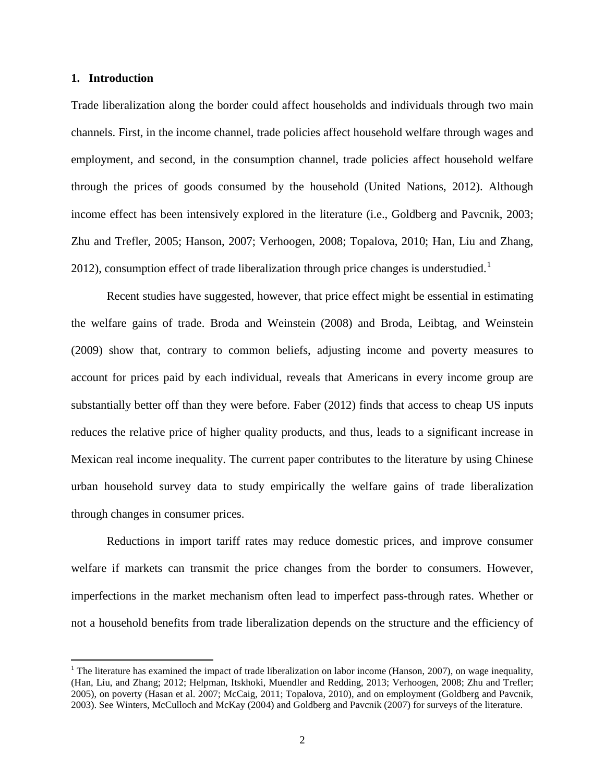### **1. Introduction**

Trade liberalization along the border could affect households and individuals through two main channels. First, in the income channel, trade policies affect household welfare through wages and employment, and second, in the consumption channel, trade policies affect household welfare through the prices of goods consumed by the household (United Nations, 2012). Although income effect has been intensively explored in the literature (i.e., Goldberg and Pavcnik, 2003; Zhu and Trefler, 2005; Hanson, 2007; Verhoogen, 2008; Topalova, 2010; Han, Liu and Zhang, 20[1](#page-1-0)2), consumption effect of trade liberalization through price changes is understudied.<sup>1</sup>

Recent studies have suggested, however, that price effect might be essential in estimating the welfare gains of trade. Broda and Weinstein (2008) and Broda, Leibtag, and Weinstein (2009) show that, contrary to common beliefs, adjusting income and poverty measures to account for prices paid by each individual, reveals that Americans in every income group are substantially better off than they were before. Faber (2012) finds that access to cheap US inputs reduces the relative price of higher quality products, and thus, leads to a significant increase in Mexican real income inequality. The current paper contributes to the literature by using Chinese urban household survey data to study empirically the welfare gains of trade liberalization through changes in consumer prices.

Reductions in import tariff rates may reduce domestic prices, and improve consumer welfare if markets can transmit the price changes from the border to consumers. However, imperfections in the market mechanism often lead to imperfect pass-through rates. Whether or not a household benefits from trade liberalization depends on the structure and the efficiency of

<span id="page-1-0"></span><sup>&</sup>lt;sup>1</sup> The literature has examined the impact of trade liberalization on labor income (Hanson, 2007), on wage inequality, (Han, Liu, and Zhang; 2012; Helpman, Itskhoki, Muendler and Redding, 2013; Verhoogen, 2008; Zhu and Trefler; 2005), on poverty (Hasan et al. 2007; McCaig, 2011; Topalova, 2010), and on employment (Goldberg and Pavcnik, 2003). See Winters, McCulloch and McKay (2004) and Goldberg and Pavcnik (2007) for surveys of the literature.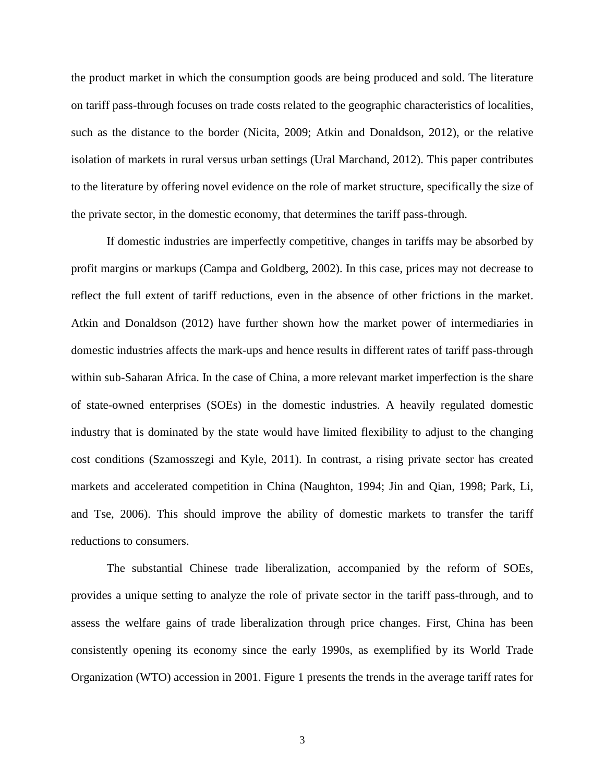the product market in which the consumption goods are being produced and sold. The literature on tariff pass-through focuses on trade costs related to the geographic characteristics of localities, such as the distance to the border (Nicita, 2009; Atkin and Donaldson, 2012), or the relative isolation of markets in rural versus urban settings (Ural Marchand, 2012). This paper contributes to the literature by offering novel evidence on the role of market structure, specifically the size of the private sector, in the domestic economy, that determines the tariff pass-through.

If domestic industries are imperfectly competitive, changes in tariffs may be absorbed by profit margins or markups (Campa and Goldberg, 2002). In this case, prices may not decrease to reflect the full extent of tariff reductions, even in the absence of other frictions in the market. Atkin and Donaldson (2012) have further shown how the market power of intermediaries in domestic industries affects the mark-ups and hence results in different rates of tariff pass-through within sub-Saharan Africa. In the case of China, a more relevant market imperfection is the share of state-owned enterprises (SOEs) in the domestic industries. A heavily regulated domestic industry that is dominated by the state would have limited flexibility to adjust to the changing cost conditions (Szamosszegi and Kyle, 2011). In contrast, a rising private sector has created markets and accelerated competition in China (Naughton, 1994; Jin and Qian, 1998; Park, Li, and Tse, 2006). This should improve the ability of domestic markets to transfer the tariff reductions to consumers.

The substantial Chinese trade liberalization, accompanied by the reform of SOEs, provides a unique setting to analyze the role of private sector in the tariff pass-through, and to assess the welfare gains of trade liberalization through price changes. First, China has been consistently opening its economy since the early 1990s, as exemplified by its World Trade Organization (WTO) accession in 2001. Figure 1 presents the trends in the average tariff rates for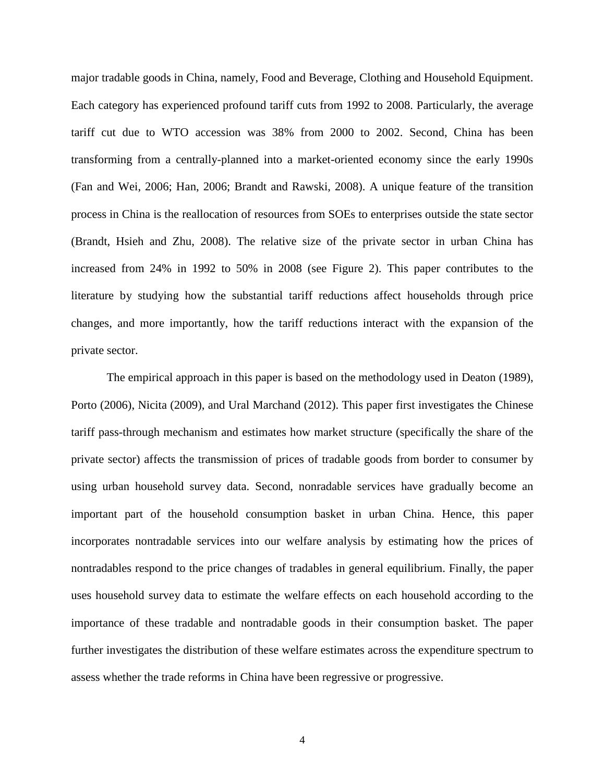major tradable goods in China, namely, Food and Beverage, Clothing and Household Equipment. Each category has experienced profound tariff cuts from 1992 to 2008. Particularly, the average tariff cut due to WTO accession was 38% from 2000 to 2002. Second, China has been transforming from a centrally-planned into a market-oriented economy since the early 1990s (Fan and Wei, 2006; Han, 2006; Brandt and Rawski, 2008). A unique feature of the transition process in China is the reallocation of resources from SOEs to enterprises outside the state sector (Brandt, Hsieh and Zhu, 2008). The relative size of the private sector in urban China has increased from 24% in 1992 to 50% in 2008 (see Figure 2). This paper contributes to the literature by studying how the substantial tariff reductions affect households through price changes, and more importantly, how the tariff reductions interact with the expansion of the private sector.

The empirical approach in this paper is based on the methodology used in Deaton (1989), Porto (2006), Nicita (2009), and Ural Marchand (2012). This paper first investigates the Chinese tariff pass-through mechanism and estimates how market structure (specifically the share of the private sector) affects the transmission of prices of tradable goods from border to consumer by using urban household survey data. Second, nonradable services have gradually become an important part of the household consumption basket in urban China. Hence, this paper incorporates nontradable services into our welfare analysis by estimating how the prices of nontradables respond to the price changes of tradables in general equilibrium. Finally, the paper uses household survey data to estimate the welfare effects on each household according to the importance of these tradable and nontradable goods in their consumption basket. The paper further investigates the distribution of these welfare estimates across the expenditure spectrum to assess whether the trade reforms in China have been regressive or progressive.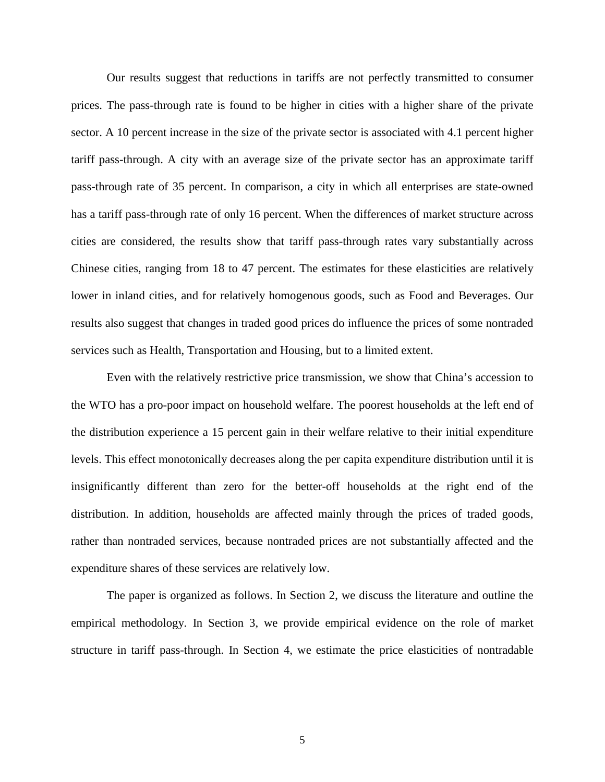Our results suggest that reductions in tariffs are not perfectly transmitted to consumer prices. The pass-through rate is found to be higher in cities with a higher share of the private sector. A 10 percent increase in the size of the private sector is associated with 4.1 percent higher tariff pass-through. A city with an average size of the private sector has an approximate tariff pass-through rate of 35 percent. In comparison, a city in which all enterprises are state-owned has a tariff pass-through rate of only 16 percent. When the differences of market structure across cities are considered, the results show that tariff pass-through rates vary substantially across Chinese cities, ranging from 18 to 47 percent. The estimates for these elasticities are relatively lower in inland cities, and for relatively homogenous goods, such as Food and Beverages. Our results also suggest that changes in traded good prices do influence the prices of some nontraded services such as Health, Transportation and Housing, but to a limited extent.

Even with the relatively restrictive price transmission, we show that China's accession to the WTO has a pro-poor impact on household welfare. The poorest households at the left end of the distribution experience a 15 percent gain in their welfare relative to their initial expenditure levels. This effect monotonically decreases along the per capita expenditure distribution until it is insignificantly different than zero for the better-off households at the right end of the distribution. In addition, households are affected mainly through the prices of traded goods, rather than nontraded services, because nontraded prices are not substantially affected and the expenditure shares of these services are relatively low.

The paper is organized as follows. In Section 2, we discuss the literature and outline the empirical methodology. In Section 3, we provide empirical evidence on the role of market structure in tariff pass-through. In Section 4, we estimate the price elasticities of nontradable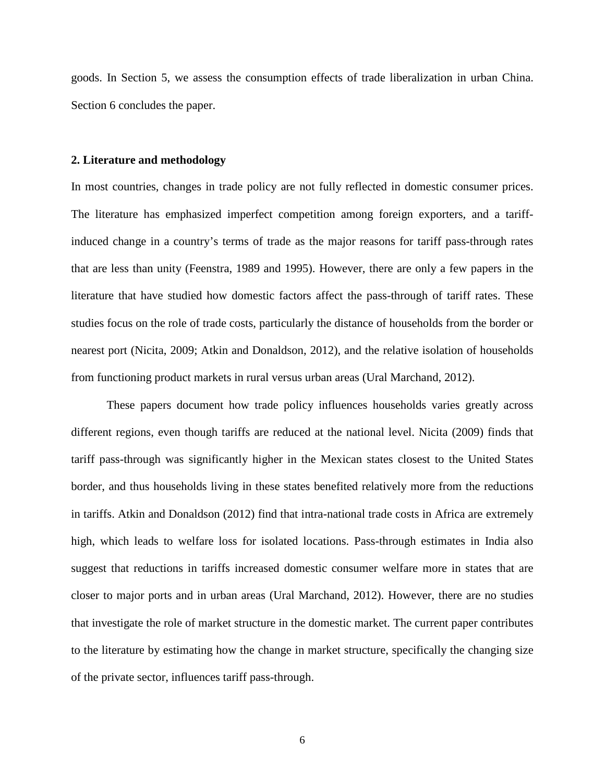goods. In Section 5, we assess the consumption effects of trade liberalization in urban China. Section 6 concludes the paper.

### **2. Literature and methodology**

In most countries, changes in trade policy are not fully reflected in domestic consumer prices. The literature has emphasized imperfect competition among foreign exporters, and a tariffinduced change in a country's terms of trade as the major reasons for tariff pass-through rates that are less than unity (Feenstra, 1989 and 1995). However, there are only a few papers in the literature that have studied how domestic factors affect the pass-through of tariff rates. These studies focus on the role of trade costs, particularly the distance of households from the border or nearest port (Nicita, 2009; Atkin and Donaldson, 2012), and the relative isolation of households from functioning product markets in rural versus urban areas (Ural Marchand, 2012).

These papers document how trade policy influences households varies greatly across different regions, even though tariffs are reduced at the national level. Nicita (2009) finds that tariff pass-through was significantly higher in the Mexican states closest to the United States border, and thus households living in these states benefited relatively more from the reductions in tariffs. Atkin and Donaldson (2012) find that intra-national trade costs in Africa are extremely high, which leads to welfare loss for isolated locations. Pass-through estimates in India also suggest that reductions in tariffs increased domestic consumer welfare more in states that are closer to major ports and in urban areas (Ural Marchand, 2012). However, there are no studies that investigate the role of market structure in the domestic market. The current paper contributes to the literature by estimating how the change in market structure, specifically the changing size of the private sector, influences tariff pass-through.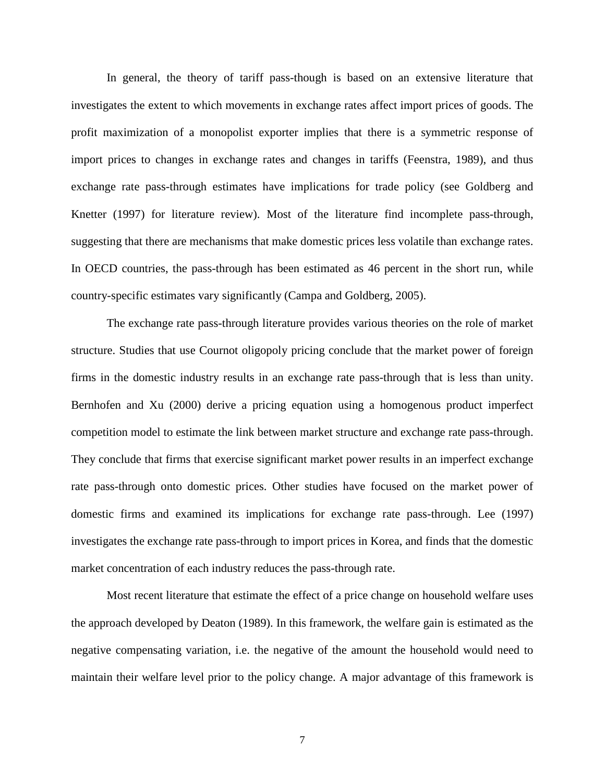In general, the theory of tariff pass-though is based on an extensive literature that investigates the extent to which movements in exchange rates affect import prices of goods. The profit maximization of a monopolist exporter implies that there is a symmetric response of import prices to changes in exchange rates and changes in tariffs (Feenstra, 1989), and thus exchange rate pass-through estimates have implications for trade policy (see Goldberg and Knetter (1997) for literature review). Most of the literature find incomplete pass-through, suggesting that there are mechanisms that make domestic prices less volatile than exchange rates. In OECD countries, the pass-through has been estimated as 46 percent in the short run, while country-specific estimates vary significantly (Campa and Goldberg, 2005).

The exchange rate pass-through literature provides various theories on the role of market structure. Studies that use Cournot oligopoly pricing conclude that the market power of foreign firms in the domestic industry results in an exchange rate pass-through that is less than unity. Bernhofen and Xu (2000) derive a pricing equation using a homogenous product imperfect competition model to estimate the link between market structure and exchange rate pass-through. They conclude that firms that exercise significant market power results in an imperfect exchange rate pass-through onto domestic prices. Other studies have focused on the market power of domestic firms and examined its implications for exchange rate pass-through. Lee (1997) investigates the exchange rate pass-through to import prices in Korea, and finds that the domestic market concentration of each industry reduces the pass-through rate.

Most recent literature that estimate the effect of a price change on household welfare uses the approach developed by Deaton (1989). In this framework, the welfare gain is estimated as the negative compensating variation, i.e. the negative of the amount the household would need to maintain their welfare level prior to the policy change. A major advantage of this framework is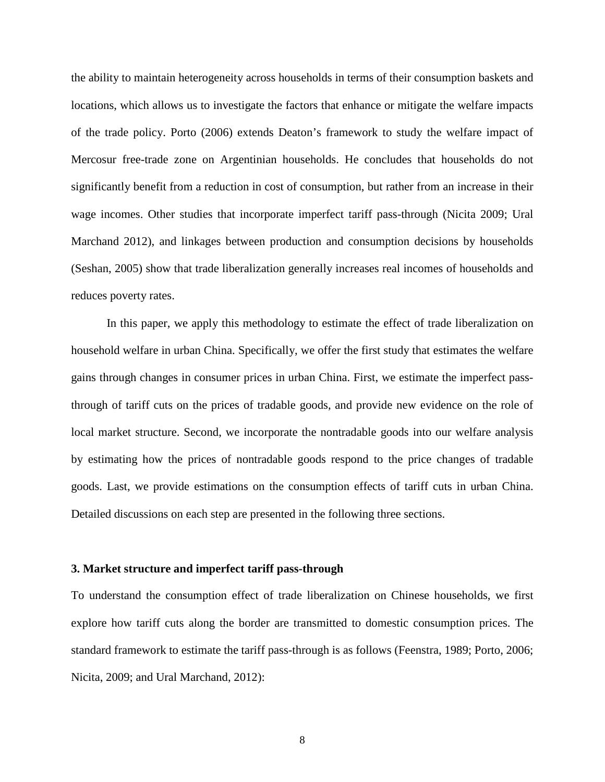the ability to maintain heterogeneity across households in terms of their consumption baskets and locations, which allows us to investigate the factors that enhance or mitigate the welfare impacts of the trade policy. Porto (2006) extends Deaton's framework to study the welfare impact of Mercosur free-trade zone on Argentinian households. He concludes that households do not significantly benefit from a reduction in cost of consumption, but rather from an increase in their wage incomes. Other studies that incorporate imperfect tariff pass-through (Nicita 2009; Ural Marchand 2012), and linkages between production and consumption decisions by households (Seshan, 2005) show that trade liberalization generally increases real incomes of households and reduces poverty rates.

In this paper, we apply this methodology to estimate the effect of trade liberalization on household welfare in urban China. Specifically, we offer the first study that estimates the welfare gains through changes in consumer prices in urban China. First, we estimate the imperfect passthrough of tariff cuts on the prices of tradable goods, and provide new evidence on the role of local market structure. Second, we incorporate the nontradable goods into our welfare analysis by estimating how the prices of nontradable goods respond to the price changes of tradable goods. Last, we provide estimations on the consumption effects of tariff cuts in urban China. Detailed discussions on each step are presented in the following three sections.

#### **3. Market structure and imperfect tariff pass-through**

To understand the consumption effect of trade liberalization on Chinese households, we first explore how tariff cuts along the border are transmitted to domestic consumption prices. The standard framework to estimate the tariff pass-through is as follows (Feenstra, 1989; Porto, 2006; Nicita, 2009; and Ural Marchand, 2012):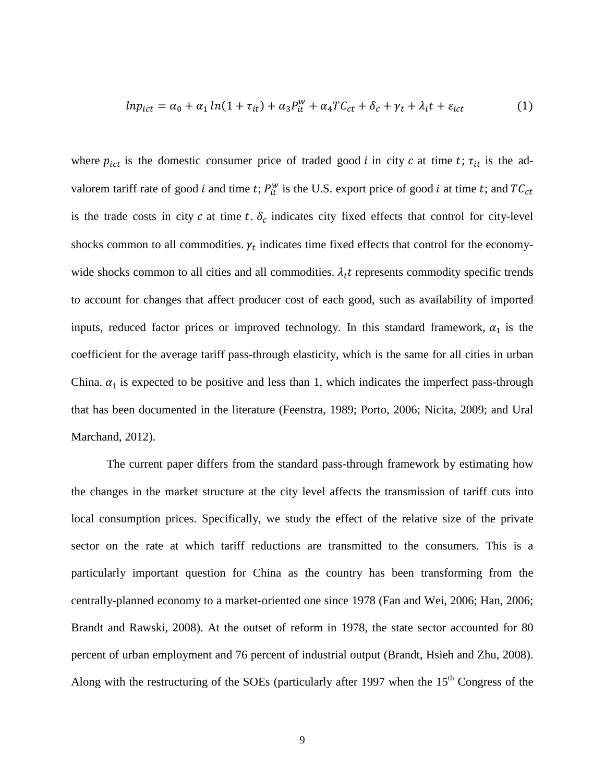$$
ln p_{ict} = \alpha_0 + \alpha_1 ln(1 + \tau_{it}) + \alpha_3 P_{it}^W + \alpha_4 T C_{ct} + \delta_c + \gamma_t + \lambda_i t + \varepsilon_{ict}
$$
 (1)

where  $p_{ict}$  is the domestic consumer price of traded good *i* in city *c* at time *t*;  $\tau_{it}$  is the advalorem tariff rate of good *i* and time *t*;  $P_{it}^{w}$  is the U.S. export price of good *i* at time *t*; and  $TC_{ct}$ is the trade costs in city  $c$  at time  $t$ .  $\delta_c$  indicates city fixed effects that control for city-level shocks common to all commodities.  $\gamma_t$  indicates time fixed effects that control for the economywide shocks common to all cities and all commodities.  $\lambda_i t$  represents commodity specific trends to account for changes that affect producer cost of each good, such as availability of imported inputs, reduced factor prices or improved technology. In this standard framework,  $\alpha_1$  is the coefficient for the average tariff pass-through elasticity, which is the same for all cities in urban China.  $\alpha_1$  is expected to be positive and less than 1, which indicates the imperfect pass-through that has been documented in the literature (Feenstra, 1989; Porto, 2006; Nicita, 2009; and Ural Marchand, 2012).

The current paper differs from the standard pass-through framework by estimating how the changes in the market structure at the city level affects the transmission of tariff cuts into local consumption prices. Specifically, we study the effect of the relative size of the private sector on the rate at which tariff reductions are transmitted to the consumers. This is a particularly important question for China as the country has been transforming from the centrally-planned economy to a market-oriented one since 1978 (Fan and Wei, 2006; Han, 2006; Brandt and Rawski, 2008). At the outset of reform in 1978, the state sector accounted for 80 percent of urban employment and 76 percent of industrial output (Brandt, Hsieh and Zhu, 2008). Along with the restructuring of the SOEs (particularly after 1997 when the 15<sup>th</sup> Congress of the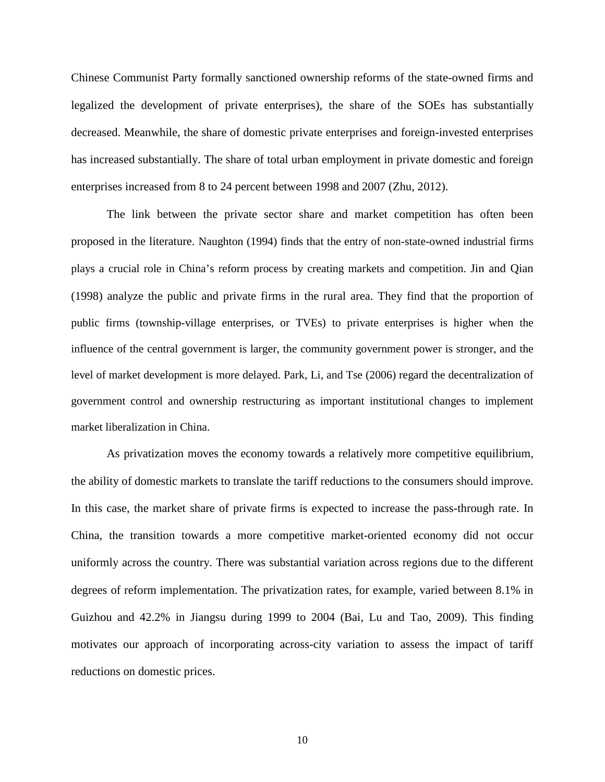Chinese Communist Party formally sanctioned ownership reforms of the state-owned firms and legalized the development of private enterprises), the share of the SOEs has substantially decreased. Meanwhile, the share of domestic private enterprises and foreign-invested enterprises has increased substantially. The share of total urban employment in private domestic and foreign enterprises increased from 8 to 24 percent between 1998 and 2007 (Zhu, 2012).

The link between the private sector share and market competition has often been proposed in the literature. Naughton (1994) finds that the entry of non-state-owned industrial firms plays a crucial role in China's reform process by creating markets and competition. Jin and Qian (1998) analyze the public and private firms in the rural area. They find that the proportion of public firms (township-village enterprises, or TVEs) to private enterprises is higher when the influence of the central government is larger, the community government power is stronger, and the level of market development is more delayed. Park, Li, and Tse (2006) regard the decentralization of government control and ownership restructuring as important institutional changes to implement market liberalization in China.

As privatization moves the economy towards a relatively more competitive equilibrium, the ability of domestic markets to translate the tariff reductions to the consumers should improve. In this case, the market share of private firms is expected to increase the pass-through rate. In China, the transition towards a more competitive market-oriented economy did not occur uniformly across the country. There was substantial variation across regions due to the different degrees of reform implementation. The privatization rates, for example, varied between 8.1% in Guizhou and 42.2% in Jiangsu during 1999 to 2004 (Bai, Lu and Tao, 2009). This finding motivates our approach of incorporating across-city variation to assess the impact of tariff reductions on domestic prices.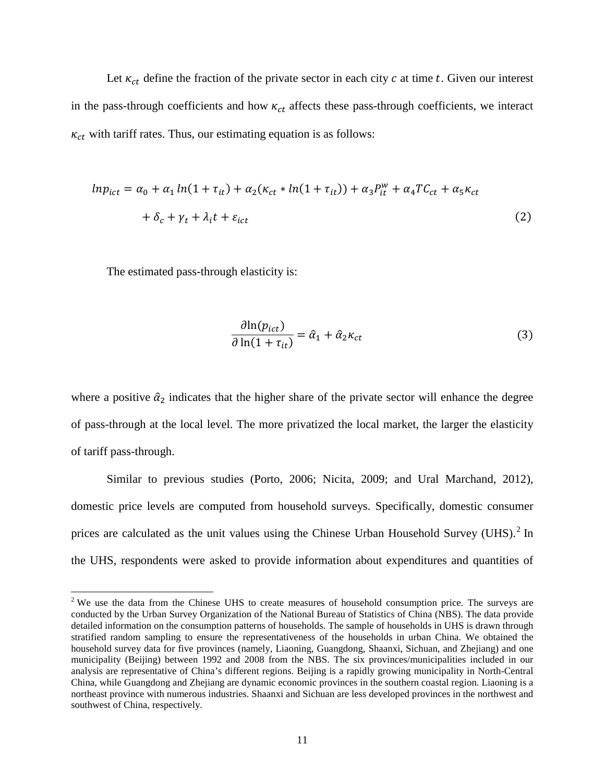Let  $\kappa_{ct}$  define the fraction of the private sector in each city  $c$  at time  $t$ . Given our interest in the pass-through coefficients and how  $\kappa_{ct}$  affects these pass-through coefficients, we interact  $\kappa_{ct}$  with tariff rates. Thus, our estimating equation is as follows:

$$
ln p_{ict} = \alpha_0 + \alpha_1 ln(1 + \tau_{it}) + \alpha_2 (\kappa_{ct} * ln(1 + \tau_{it})) + \alpha_3 P_{it}^W + \alpha_4 T C_{ct} + \alpha_5 \kappa_{ct}
$$
  
+  $\delta_c + \gamma_t + \lambda_i t + \varepsilon_{ict}$  (2)

The estimated pass-through elasticity is:

$$
\frac{\partial \ln(p_{ict})}{\partial \ln(1 + \tau_{it})} = \hat{\alpha}_1 + \hat{\alpha}_2 \kappa_{ct}
$$
\n(3)

where a positive  $\hat{\alpha}_2$  indicates that the higher share of the private sector will enhance the degree of pass-through at the local level. The more privatized the local market, the larger the elasticity of tariff pass-through.

Similar to previous studies (Porto, 2006; Nicita, 2009; and Ural Marchand, 2012), domestic price levels are computed from household surveys. Specifically, domestic consumer prices are calculated as the unit values using the Chinese Urban Household Survey (UHS).<sup>[2](#page-10-0)</sup> In the UHS, respondents were asked to provide information about expenditures and quantities of

<span id="page-10-0"></span> $2$  We use the data from the Chinese UHS to create measures of household consumption price. The surveys are conducted by the Urban Survey Organization of the National Bureau of Statistics of China (NBS). The data provide detailed information on the consumption patterns of households. The sample of households in UHS is drawn through stratified random sampling to ensure the representativeness of the households in urban China. We obtained the household survey data for five provinces (namely, Liaoning, Guangdong, Shaanxi, Sichuan, and Zhejiang) and one municipality (Beijing) between 1992 and 2008 from the NBS. The six provinces/municipalities included in our analysis are representative of China's different regions. Beijing is a rapidly growing municipality in North-Central China, while Guangdong and Zhejiang are dynamic economic provinces in the southern coastal region. Liaoning is a northeast province with numerous industries. Shaanxi and Sichuan are less developed provinces in the northwest and southwest of China, respectively.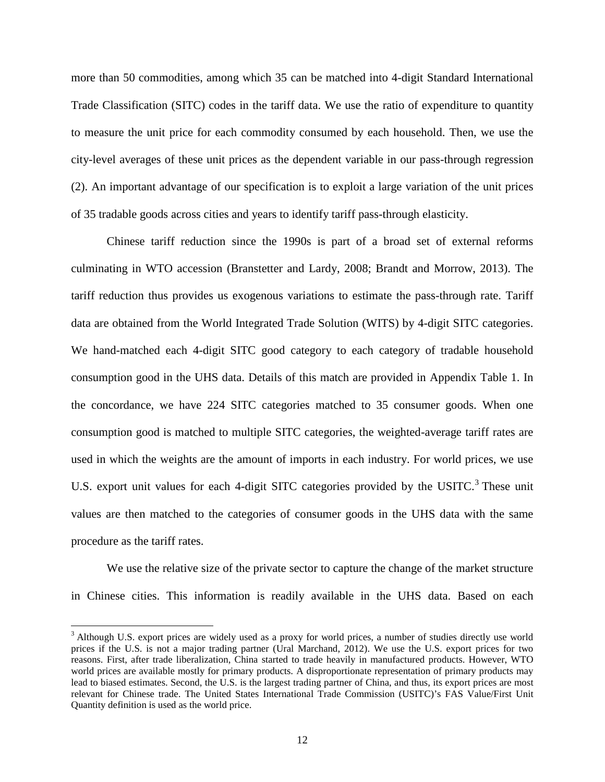more than 50 commodities, among which 35 can be matched into 4-digit Standard International Trade Classification (SITC) codes in the tariff data. We use the ratio of expenditure to quantity to measure the unit price for each commodity consumed by each household. Then, we use the city-level averages of these unit prices as the dependent variable in our pass-through regression (2). An important advantage of our specification is to exploit a large variation of the unit prices of 35 tradable goods across cities and years to identify tariff pass-through elasticity.

Chinese tariff reduction since the 1990s is part of a broad set of external reforms culminating in WTO accession (Branstetter and Lardy, 2008; Brandt and Morrow, 2013). The tariff reduction thus provides us exogenous variations to estimate the pass-through rate. Tariff data are obtained from the World Integrated Trade Solution (WITS) by 4-digit SITC categories. We hand-matched each 4-digit SITC good category to each category of tradable household consumption good in the UHS data. Details of this match are provided in Appendix Table 1. In the concordance, we have 224 SITC categories matched to 35 consumer goods. When one consumption good is matched to multiple SITC categories, the weighted-average tariff rates are used in which the weights are the amount of imports in each industry. For world prices, we use U.S. export unit values for each 4-digit SITC categories provided by the USITC.<sup>[3](#page-11-0)</sup> These unit values are then matched to the categories of consumer goods in the UHS data with the same procedure as the tariff rates.

We use the relative size of the private sector to capture the change of the market structure in Chinese cities. This information is readily available in the UHS data. Based on each

<span id="page-11-0"></span><sup>&</sup>lt;sup>3</sup> Although U.S. export prices are widely used as a proxy for world prices, a number of studies directly use world prices if the U.S. is not a major trading partner (Ural Marchand, 2012). We use the U.S. export prices for two reasons. First, after trade liberalization, China started to trade heavily in manufactured products. However, WTO world prices are available mostly for primary products. A disproportionate representation of primary products may lead to biased estimates. Second, the U.S. is the largest trading partner of China, and thus, its export prices are most relevant for Chinese trade. The United States International Trade Commission (USITC)'s FAS Value/First Unit Quantity definition is used as the world price.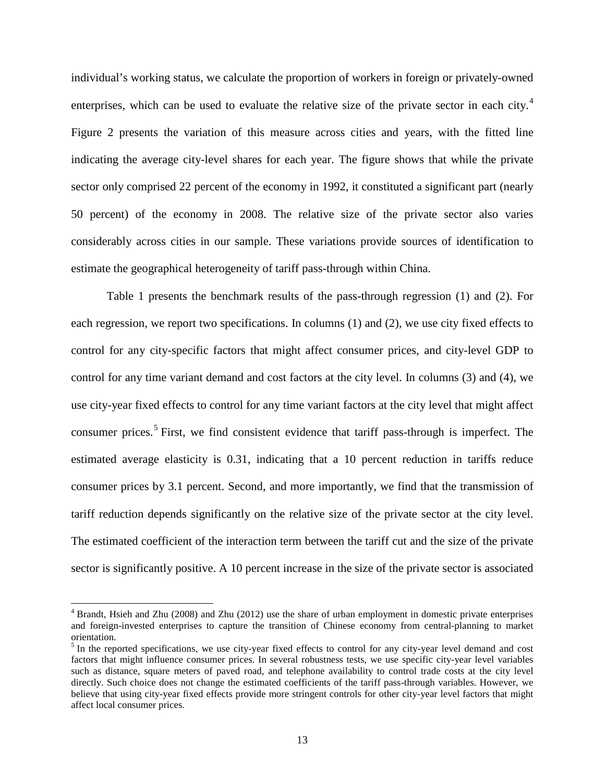individual's working status, we calculate the proportion of workers in foreign or privately-owned enterprises, which can be used to evaluate the relative size of the private sector in each city.<sup>[4](#page-12-0)</sup> Figure 2 presents the variation of this measure across cities and years, with the fitted line indicating the average city-level shares for each year. The figure shows that while the private sector only comprised 22 percent of the economy in 1992, it constituted a significant part (nearly 50 percent) of the economy in 2008. The relative size of the private sector also varies considerably across cities in our sample. These variations provide sources of identification to estimate the geographical heterogeneity of tariff pass-through within China.

Table 1 presents the benchmark results of the pass-through regression (1) and (2). For each regression, we report two specifications. In columns (1) and (2), we use city fixed effects to control for any city-specific factors that might affect consumer prices, and city-level GDP to control for any time variant demand and cost factors at the city level. In columns (3) and (4), we use city-year fixed effects to control for any time variant factors at the city level that might affect consumer prices.<sup>[5](#page-12-1)</sup> First, we find consistent evidence that tariff pass-through is imperfect. The estimated average elasticity is 0.31, indicating that a 10 percent reduction in tariffs reduce consumer prices by 3.1 percent. Second, and more importantly, we find that the transmission of tariff reduction depends significantly on the relative size of the private sector at the city level. The estimated coefficient of the interaction term between the tariff cut and the size of the private sector is significantly positive. A 10 percent increase in the size of the private sector is associated

<span id="page-12-0"></span> $4$  Brandt, Hsieh and Zhu (2008) and Zhu (2012) use the share of urban employment in domestic private enterprises and foreign-invested enterprises to capture the transition of Chinese economy from central-planning to market orientation.

<span id="page-12-1"></span><sup>&</sup>lt;sup>5</sup> In the reported specifications, we use city-year fixed effects to control for any city-year level demand and cost factors that might influence consumer prices. In several robustness tests, we use specific city-year level variables such as distance, square meters of paved road, and telephone availability to control trade costs at the city level directly. Such choice does not change the estimated coefficients of the tariff pass-through variables. However, we believe that using city-year fixed effects provide more stringent controls for other city-year level factors that might affect local consumer prices.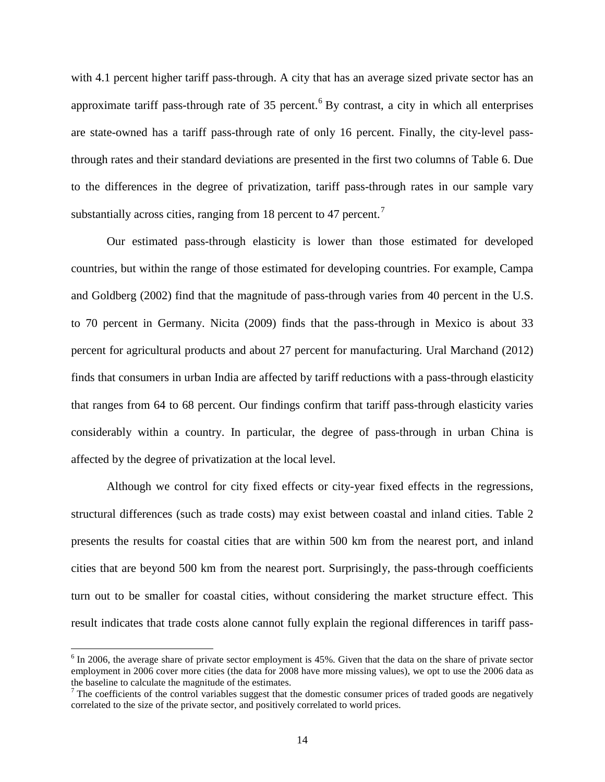with 4.1 percent higher tariff pass-through. A city that has an average sized private sector has an approximate tariff pass-through rate of 35 percent.<sup>[6](#page-13-0)</sup> By contrast, a city in which all enterprises are state-owned has a tariff pass-through rate of only 16 percent. Finally, the city-level passthrough rates and their standard deviations are presented in the first two columns of Table 6. Due to the differences in the degree of privatization, tariff pass-through rates in our sample vary substantially across cities, ranging from 18 percent to 4[7](#page-13-1) percent.<sup>7</sup>

Our estimated pass-through elasticity is lower than those estimated for developed countries, but within the range of those estimated for developing countries. For example, Campa and Goldberg (2002) find that the magnitude of pass-through varies from 40 percent in the U.S. to 70 percent in Germany. Nicita (2009) finds that the pass-through in Mexico is about 33 percent for agricultural products and about 27 percent for manufacturing. Ural Marchand (2012) finds that consumers in urban India are affected by tariff reductions with a pass-through elasticity that ranges from 64 to 68 percent. Our findings confirm that tariff pass-through elasticity varies considerably within a country. In particular, the degree of pass-through in urban China is affected by the degree of privatization at the local level.

Although we control for city fixed effects or city-year fixed effects in the regressions, structural differences (such as trade costs) may exist between coastal and inland cities. Table 2 presents the results for coastal cities that are within 500 km from the nearest port, and inland cities that are beyond 500 km from the nearest port. Surprisingly, the pass-through coefficients turn out to be smaller for coastal cities, without considering the market structure effect. This result indicates that trade costs alone cannot fully explain the regional differences in tariff pass-

<span id="page-13-0"></span> $6$  In 2006, the average share of private sector employment is 45%. Given that the data on the share of private sector employment in 2006 cover more cities (the data for 2008 have more missing values), we opt to use the 2006 data as the baseline to calculate the magnitude of the estimates.

<span id="page-13-1"></span> $\overline{7}$  The coefficients of the control variables suggest that the domestic consumer prices of traded goods are negatively correlated to the size of the private sector, and positively correlated to world prices.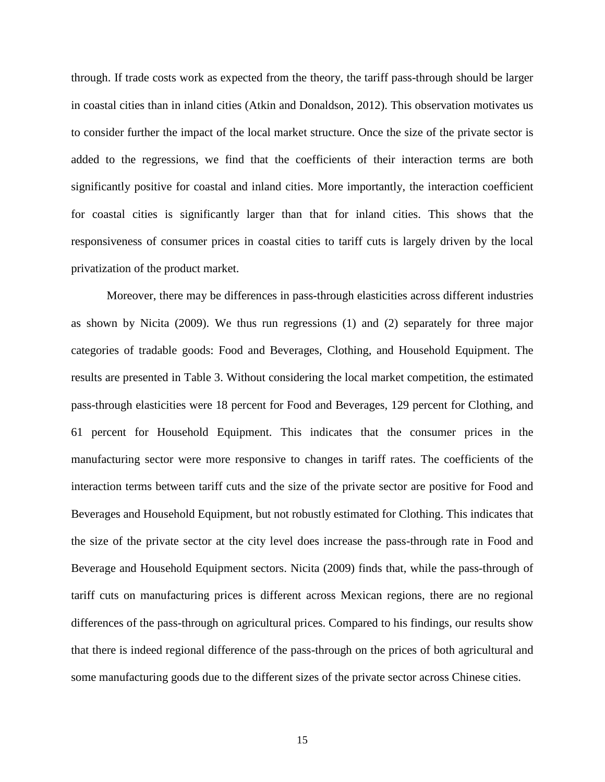through. If trade costs work as expected from the theory, the tariff pass-through should be larger in coastal cities than in inland cities (Atkin and Donaldson, 2012). This observation motivates us to consider further the impact of the local market structure. Once the size of the private sector is added to the regressions, we find that the coefficients of their interaction terms are both significantly positive for coastal and inland cities. More importantly, the interaction coefficient for coastal cities is significantly larger than that for inland cities. This shows that the responsiveness of consumer prices in coastal cities to tariff cuts is largely driven by the local privatization of the product market.

Moreover, there may be differences in pass-through elasticities across different industries as shown by Nicita (2009). We thus run regressions (1) and (2) separately for three major categories of tradable goods: Food and Beverages, Clothing, and Household Equipment. The results are presented in Table 3. Without considering the local market competition, the estimated pass-through elasticities were 18 percent for Food and Beverages, 129 percent for Clothing, and 61 percent for Household Equipment. This indicates that the consumer prices in the manufacturing sector were more responsive to changes in tariff rates. The coefficients of the interaction terms between tariff cuts and the size of the private sector are positive for Food and Beverages and Household Equipment, but not robustly estimated for Clothing. This indicates that the size of the private sector at the city level does increase the pass-through rate in Food and Beverage and Household Equipment sectors. Nicita (2009) finds that, while the pass-through of tariff cuts on manufacturing prices is different across Mexican regions, there are no regional differences of the pass-through on agricultural prices. Compared to his findings, our results show that there is indeed regional difference of the pass-through on the prices of both agricultural and some manufacturing goods due to the different sizes of the private sector across Chinese cities.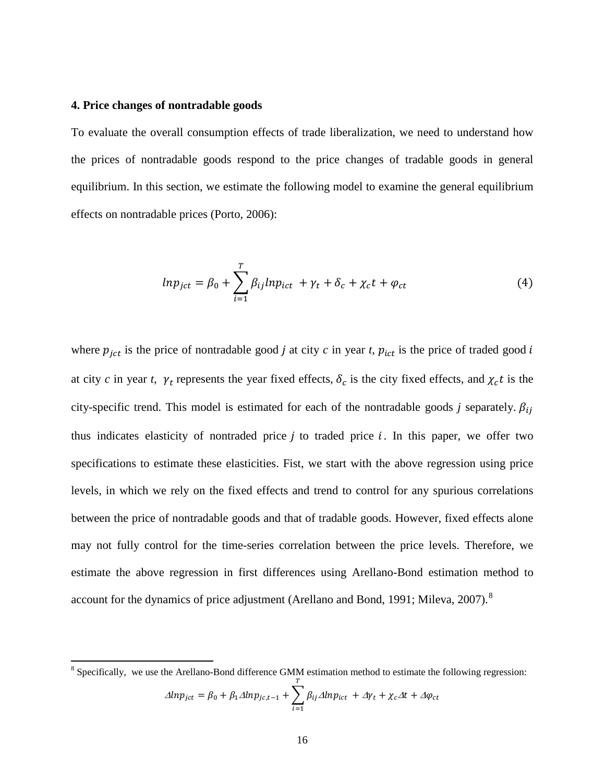#### **4. Price changes of nontradable goods**

To evaluate the overall consumption effects of trade liberalization, we need to understand how the prices of nontradable goods respond to the price changes of tradable goods in general equilibrium. In this section, we estimate the following model to examine the general equilibrium effects on nontradable prices (Porto, 2006):

$$
ln p_{ict} = \beta_0 + \sum_{i=1}^{T} \beta_{ij} ln p_{ict} + \gamma_t + \delta_c + \chi_c t + \varphi_{ct}
$$
 (4)

where  $p_{\text{jet}}$  is the price of nontradable good *j* at city *c* in year *t*,  $p_{\text{ict}}$  is the price of traded good *i* at city *c* in year *t*,  $\gamma_t$  represents the year fixed effects,  $\delta_c$  is the city fixed effects, and  $\chi_c t$  is the city-specific trend. This model is estimated for each of the nontradable goods *j* separately.  $\beta_{ij}$ thus indicates elasticity of nontraded price  $i$  to traded price  $i$ . In this paper, we offer two specifications to estimate these elasticities. Fist, we start with the above regression using price levels, in which we rely on the fixed effects and trend to control for any spurious correlations between the price of nontradable goods and that of tradable goods. However, fixed effects alone may not fully control for the time-series correlation between the price levels. Therefore, we estimate the above regression in first differences using Arellano-Bond estimation method to account for the dynamics of price adjustment (Arellano and Bond, 1991; Mileva, 2007).<sup>[8](#page-15-0)</sup>

<span id="page-15-0"></span><sup>&</sup>lt;sup>8</sup> Specifically, we use the Arellano-Bond difference GMM estimation method to estimate the following regression:  $\Delta lnp_{jet} = \beta_0 + \beta_1 \Delta lnp_{jc,t-1} + \sum_i \beta_{ij} \Delta lnp_{ict}$  $\overline{T}$  $i=1$  $+\Delta \gamma_t + \chi_c \Delta t + \Delta \varphi_{ct}$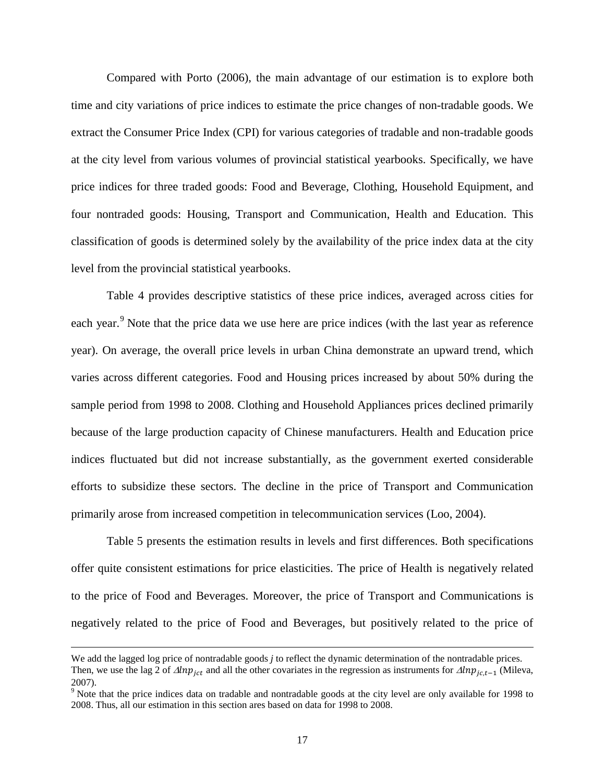Compared with Porto (2006), the main advantage of our estimation is to explore both time and city variations of price indices to estimate the price changes of non-tradable goods. We extract the Consumer Price Index (CPI) for various categories of tradable and non-tradable goods at the city level from various volumes of provincial statistical yearbooks. Specifically, we have price indices for three traded goods: Food and Beverage, Clothing, Household Equipment, and four nontraded goods: Housing, Transport and Communication, Health and Education. This classification of goods is determined solely by the availability of the price index data at the city level from the provincial statistical yearbooks.

Table 4 provides descriptive statistics of these price indices, averaged across cities for each year.<sup>[9](#page-16-0)</sup> Note that the price data we use here are price indices (with the last year as reference year). On average, the overall price levels in urban China demonstrate an upward trend, which varies across different categories. Food and Housing prices increased by about 50% during the sample period from 1998 to 2008. Clothing and Household Appliances prices declined primarily because of the large production capacity of Chinese manufacturers. Health and Education price indices fluctuated but did not increase substantially, as the government exerted considerable efforts to subsidize these sectors. The decline in the price of Transport and Communication primarily arose from increased competition in telecommunication services (Loo, 2004).

Table 5 presents the estimation results in levels and first differences. Both specifications offer quite consistent estimations for price elasticities. The price of Health is negatively related to the price of Food and Beverages. Moreover, the price of Transport and Communications is negatively related to the price of Food and Beverages, but positively related to the price of

 $\overline{\phantom{a}}$ 

We add the lagged log price of nontradable goods *j* to reflect the dynamic determination of the nontradable prices. Then, we use the lag 2 of  $\Delta lnp_{ict}$  and all the other covariates in the regression as instruments for  $\Delta lnp_{ict-1}$  (Mileva, 2007).

<span id="page-16-0"></span><sup>&</sup>lt;sup>9</sup> Note that the price indices data on tradable and nontradable goods at the city level are only available for 1998 to 2008. Thus, all our estimation in this section ares based on data for 1998 to 2008.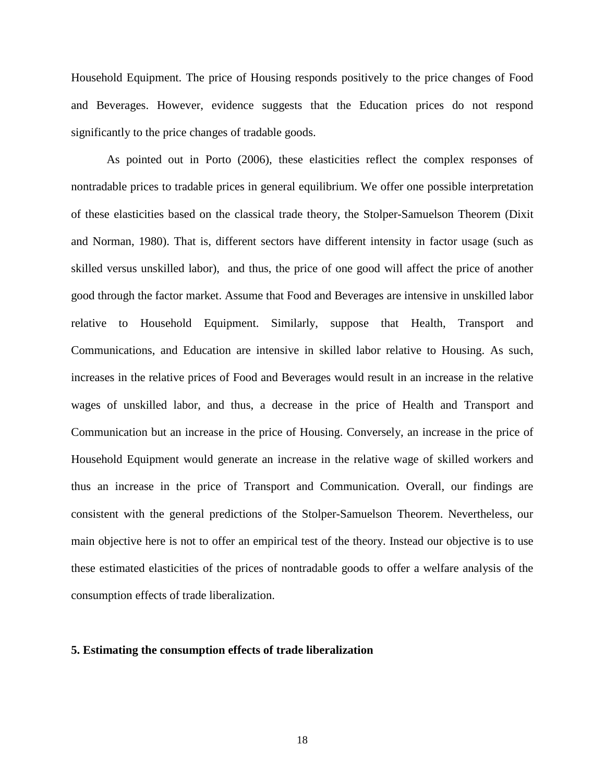Household Equipment. The price of Housing responds positively to the price changes of Food and Beverages. However, evidence suggests that the Education prices do not respond significantly to the price changes of tradable goods.

As pointed out in Porto (2006), these elasticities reflect the complex responses of nontradable prices to tradable prices in general equilibrium. We offer one possible interpretation of these elasticities based on the classical trade theory, the Stolper-Samuelson Theorem (Dixit and Norman, 1980). That is, different sectors have different intensity in factor usage (such as skilled versus unskilled labor), and thus, the price of one good will affect the price of another good through the factor market. Assume that Food and Beverages are intensive in unskilled labor relative to Household Equipment. Similarly, suppose that Health, Transport and Communications, and Education are intensive in skilled labor relative to Housing. As such, increases in the relative prices of Food and Beverages would result in an increase in the relative wages of unskilled labor, and thus, a decrease in the price of Health and Transport and Communication but an increase in the price of Housing. Conversely, an increase in the price of Household Equipment would generate an increase in the relative wage of skilled workers and thus an increase in the price of Transport and Communication. Overall, our findings are consistent with the general predictions of the Stolper-Samuelson Theorem. Nevertheless, our main objective here is not to offer an empirical test of the theory. Instead our objective is to use these estimated elasticities of the prices of nontradable goods to offer a welfare analysis of the consumption effects of trade liberalization.

## **5. Estimating the consumption effects of trade liberalization**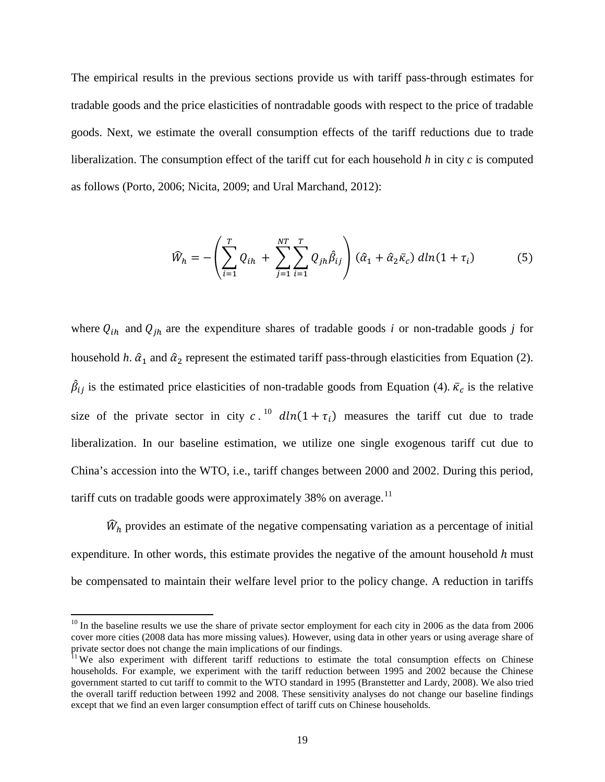The empirical results in the previous sections provide us with tariff pass-through estimates for tradable goods and the price elasticities of nontradable goods with respect to the price of tradable goods. Next, we estimate the overall consumption effects of the tariff reductions due to trade liberalization. The consumption effect of the tariff cut for each household *h* in city *c* is computed as follows (Porto, 2006; Nicita, 2009; and Ural Marchand, 2012):

$$
\widehat{W}_h = -\left(\sum_{i=1}^T Q_{ih} + \sum_{j=1}^{NT} \sum_{i=1}^T Q_{jh} \widehat{\beta}_{ij}\right) (\widehat{\alpha}_1 + \widehat{\alpha}_2 \overline{\kappa}_c) \, dln(1 + \tau_i) \tag{5}
$$

where  $Q_{ih}$  and  $Q_{jh}$  are the expenditure shares of tradable goods *i* or non-tradable goods *j* for household *h*.  $\hat{\alpha}_1$  and  $\hat{\alpha}_2$  represent the estimated tariff pass-through elasticities from Equation (2).  $\beta_{ij}$  is the estimated price elasticities of non-tradable goods from Equation (4).  $\bar{\kappa}_c$  is the relative size of the private sector in city c.<sup>[10](#page-18-0)</sup>  $dln(1 + \tau_i)$  measures the tariff cut due to trade liberalization. In our baseline estimation, we utilize one single exogenous tariff cut due to China's accession into the WTO, i.e., tariff changes between 2000 and 2002. During this period, tariff cuts on tradable goods were approximately 38% on average.<sup>[11](#page-18-1)</sup>

 $\hat{W}_h$  provides an estimate of the negative compensating variation as a percentage of initial expenditure. In other words, this estimate provides the negative of the amount household  $h$  must be compensated to maintain their welfare level prior to the policy change. A reduction in tariffs

<span id="page-18-0"></span> $10$  In the baseline results we use the share of private sector employment for each city in 2006 as the data from 2006 cover more cities (2008 data has more missing values). However, using data in other years or using average share of private sector does not change the main implications of our findings.<br><sup>11</sup> We also experiment with different tariff reductions to estimate the total consumption effects on Chinese

<span id="page-18-1"></span>households. For example, we experiment with the tariff reduction between 1995 and 2002 because the Chinese government started to cut tariff to commit to the WTO standard in 1995 (Branstetter and Lardy, 2008). We also tried the overall tariff reduction between 1992 and 2008. These sensitivity analyses do not change our baseline findings except that we find an even larger consumption effect of tariff cuts on Chinese households.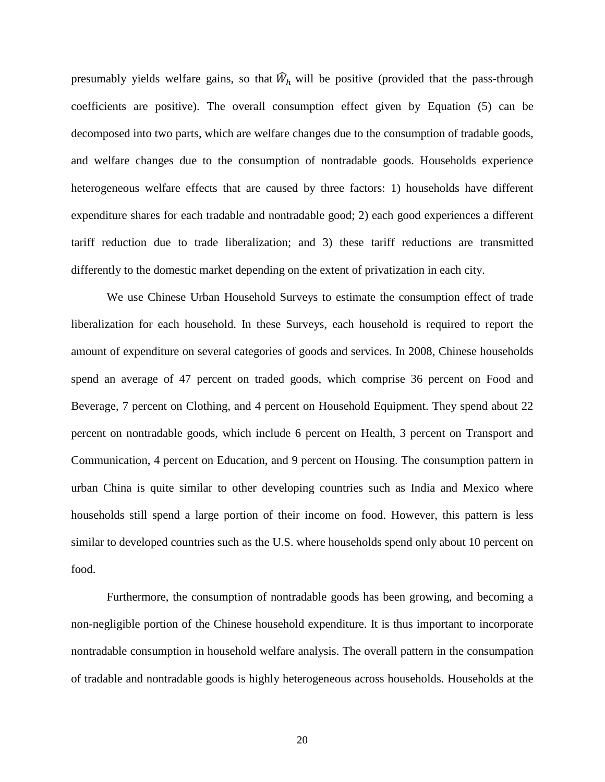presumably yields welfare gains, so that  $\hat{W}_h$  will be positive (provided that the pass-through coefficients are positive). The overall consumption effect given by Equation (5) can be decomposed into two parts, which are welfare changes due to the consumption of tradable goods, and welfare changes due to the consumption of nontradable goods. Households experience heterogeneous welfare effects that are caused by three factors: 1) households have different expenditure shares for each tradable and nontradable good; 2) each good experiences a different tariff reduction due to trade liberalization; and 3) these tariff reductions are transmitted differently to the domestic market depending on the extent of privatization in each city.

We use Chinese Urban Household Surveys to estimate the consumption effect of trade liberalization for each household. In these Surveys, each household is required to report the amount of expenditure on several categories of goods and services. In 2008, Chinese households spend an average of 47 percent on traded goods, which comprise 36 percent on Food and Beverage, 7 percent on Clothing, and 4 percent on Household Equipment. They spend about 22 percent on nontradable goods, which include 6 percent on Health, 3 percent on Transport and Communication, 4 percent on Education, and 9 percent on Housing. The consumption pattern in urban China is quite similar to other developing countries such as India and Mexico where households still spend a large portion of their income on food. However, this pattern is less similar to developed countries such as the U.S. where households spend only about 10 percent on food.

Furthermore, the consumption of nontradable goods has been growing, and becoming a non-negligible portion of the Chinese household expenditure. It is thus important to incorporate nontradable consumption in household welfare analysis. The overall pattern in the consumpation of tradable and nontradable goods is highly heterogeneous across households. Households at the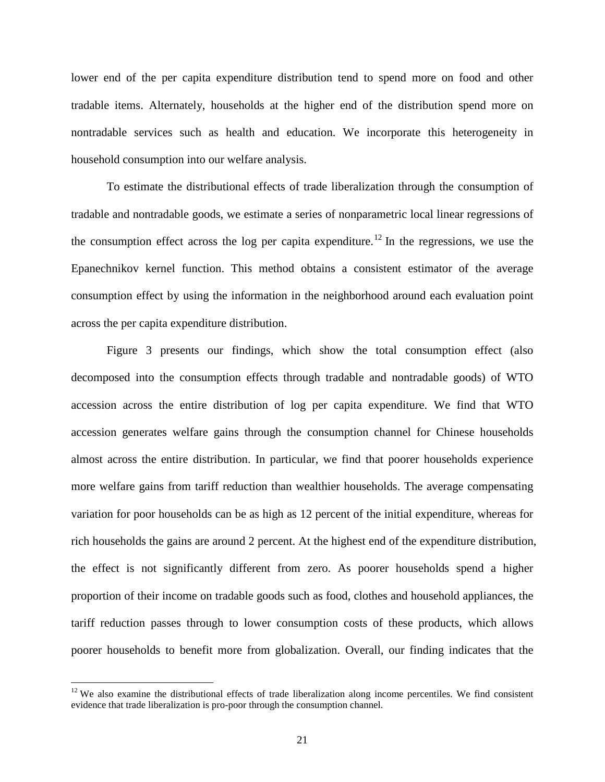lower end of the per capita expenditure distribution tend to spend more on food and other tradable items. Alternately, households at the higher end of the distribution spend more on nontradable services such as health and education. We incorporate this heterogeneity in household consumption into our welfare analysis.

To estimate the distributional effects of trade liberalization through the consumption of tradable and nontradable goods, we estimate a series of nonparametric local linear regressions of the consumption effect across the log per capita expenditure.<sup>[12](#page-20-0)</sup> In the regressions, we use the Epanechnikov kernel function. This method obtains a consistent estimator of the average consumption effect by using the information in the neighborhood around each evaluation point across the per capita expenditure distribution.

Figure 3 presents our findings, which show the total consumption effect (also decomposed into the consumption effects through tradable and nontradable goods) of WTO accession across the entire distribution of log per capita expenditure. We find that WTO accession generates welfare gains through the consumption channel for Chinese households almost across the entire distribution. In particular, we find that poorer households experience more welfare gains from tariff reduction than wealthier households. The average compensating variation for poor households can be as high as 12 percent of the initial expenditure, whereas for rich households the gains are around 2 percent. At the highest end of the expenditure distribution, the effect is not significantly different from zero. As poorer households spend a higher proportion of their income on tradable goods such as food, clothes and household appliances, the tariff reduction passes through to lower consumption costs of these products, which allows poorer households to benefit more from globalization. Overall, our finding indicates that the

<span id="page-20-0"></span> $12$  We also examine the distributional effects of trade liberalization along income percentiles. We find consistent evidence that trade liberalization is pro-poor through the consumption channel.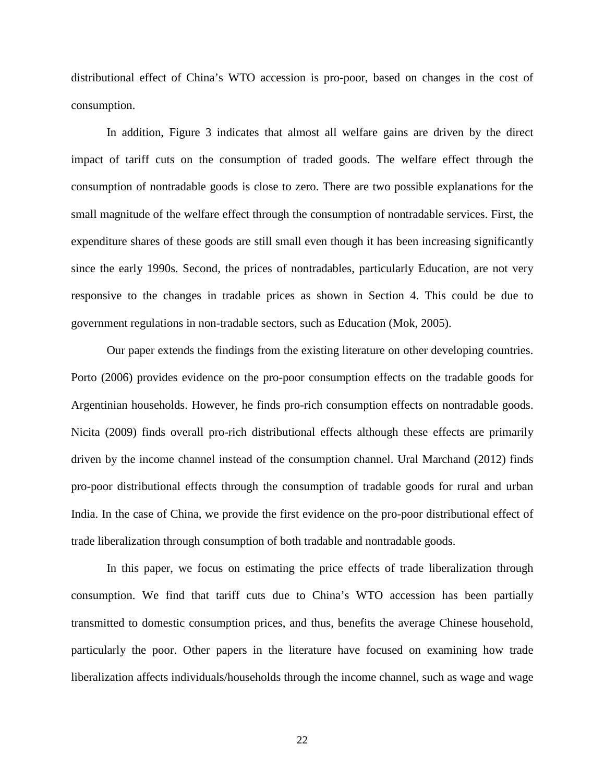distributional effect of China's WTO accession is pro-poor, based on changes in the cost of consumption.

In addition, Figure 3 indicates that almost all welfare gains are driven by the direct impact of tariff cuts on the consumption of traded goods. The welfare effect through the consumption of nontradable goods is close to zero. There are two possible explanations for the small magnitude of the welfare effect through the consumption of nontradable services. First, the expenditure shares of these goods are still small even though it has been increasing significantly since the early 1990s. Second, the prices of nontradables, particularly Education, are not very responsive to the changes in tradable prices as shown in Section 4. This could be due to government regulations in non-tradable sectors, such as Education (Mok, 2005).

Our paper extends the findings from the existing literature on other developing countries. Porto (2006) provides evidence on the pro-poor consumption effects on the tradable goods for Argentinian households. However, he finds pro-rich consumption effects on nontradable goods. Nicita (2009) finds overall pro-rich distributional effects although these effects are primarily driven by the income channel instead of the consumption channel. Ural Marchand (2012) finds pro-poor distributional effects through the consumption of tradable goods for rural and urban India. In the case of China, we provide the first evidence on the pro-poor distributional effect of trade liberalization through consumption of both tradable and nontradable goods.

In this paper, we focus on estimating the price effects of trade liberalization through consumption. We find that tariff cuts due to China's WTO accession has been partially transmitted to domestic consumption prices, and thus, benefits the average Chinese household, particularly the poor. Other papers in the literature have focused on examining how trade liberalization affects individuals/households through the income channel, such as wage and wage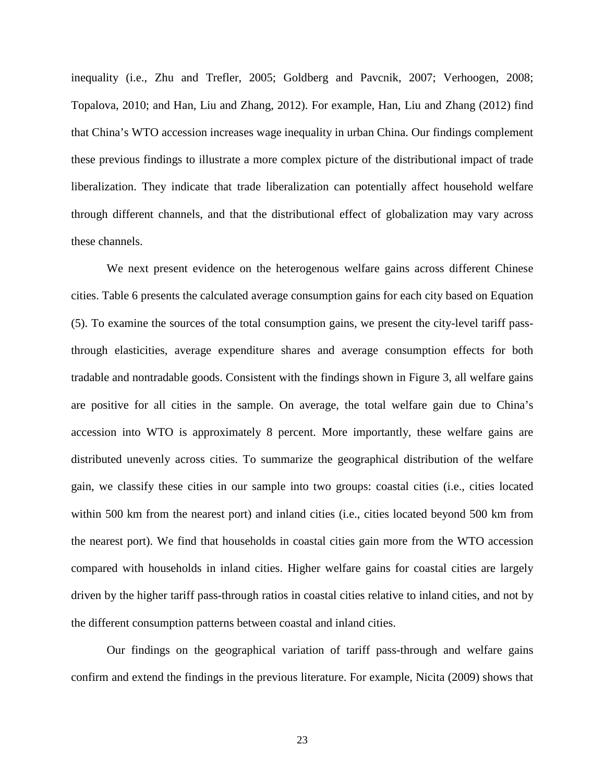inequality (i.e., Zhu and Trefler, 2005; Goldberg and Pavcnik, 2007; Verhoogen, 2008; Topalova, 2010; and Han, Liu and Zhang, 2012). For example, Han, Liu and Zhang (2012) find that China's WTO accession increases wage inequality in urban China. Our findings complement these previous findings to illustrate a more complex picture of the distributional impact of trade liberalization. They indicate that trade liberalization can potentially affect household welfare through different channels, and that the distributional effect of globalization may vary across these channels.

We next present evidence on the heterogenous welfare gains across different Chinese cities. Table 6 presents the calculated average consumption gains for each city based on Equation (5). To examine the sources of the total consumption gains, we present the city-level tariff passthrough elasticities, average expenditure shares and average consumption effects for both tradable and nontradable goods. Consistent with the findings shown in Figure 3, all welfare gains are positive for all cities in the sample. On average, the total welfare gain due to China's accession into WTO is approximately 8 percent. More importantly, these welfare gains are distributed unevenly across cities. To summarize the geographical distribution of the welfare gain, we classify these cities in our sample into two groups: coastal cities (i.e., cities located within 500 km from the nearest port) and inland cities (i.e., cities located beyond 500 km from the nearest port). We find that households in coastal cities gain more from the WTO accession compared with households in inland cities. Higher welfare gains for coastal cities are largely driven by the higher tariff pass-through ratios in coastal cities relative to inland cities, and not by the different consumption patterns between coastal and inland cities.

Our findings on the geographical variation of tariff pass-through and welfare gains confirm and extend the findings in the previous literature. For example, Nicita (2009) shows that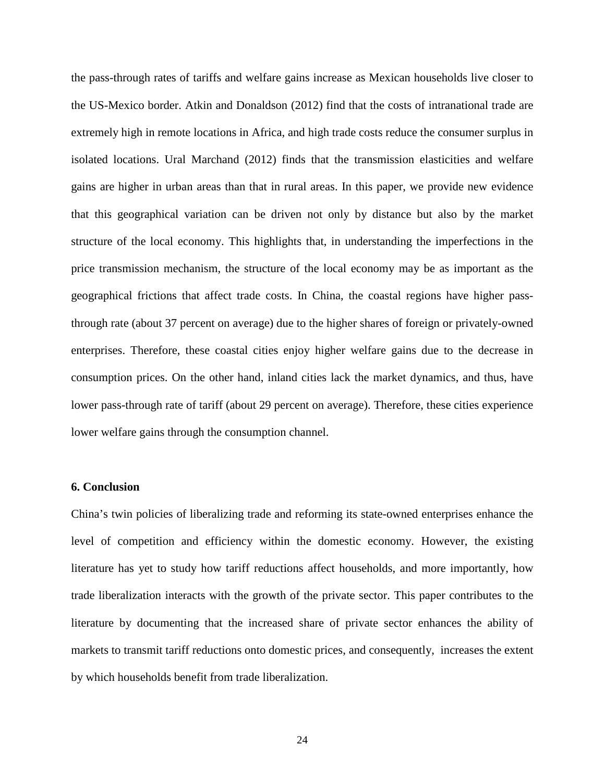the pass-through rates of tariffs and welfare gains increase as Mexican households live closer to the US-Mexico border. Atkin and Donaldson (2012) find that the costs of intranational trade are extremely high in remote locations in Africa, and high trade costs reduce the consumer surplus in isolated locations. Ural Marchand (2012) finds that the transmission elasticities and welfare gains are higher in urban areas than that in rural areas. In this paper, we provide new evidence that this geographical variation can be driven not only by distance but also by the market structure of the local economy. This highlights that, in understanding the imperfections in the price transmission mechanism, the structure of the local economy may be as important as the geographical frictions that affect trade costs. In China, the coastal regions have higher passthrough rate (about 37 percent on average) due to the higher shares of foreign or privately-owned enterprises. Therefore, these coastal cities enjoy higher welfare gains due to the decrease in consumption prices. On the other hand, inland cities lack the market dynamics, and thus, have lower pass-through rate of tariff (about 29 percent on average). Therefore, these cities experience lower welfare gains through the consumption channel.

#### **6. Conclusion**

China's twin policies of liberalizing trade and reforming its state-owned enterprises enhance the level of competition and efficiency within the domestic economy. However, the existing literature has yet to study how tariff reductions affect households, and more importantly, how trade liberalization interacts with the growth of the private sector. This paper contributes to the literature by documenting that the increased share of private sector enhances the ability of markets to transmit tariff reductions onto domestic prices, and consequently, increases the extent by which households benefit from trade liberalization.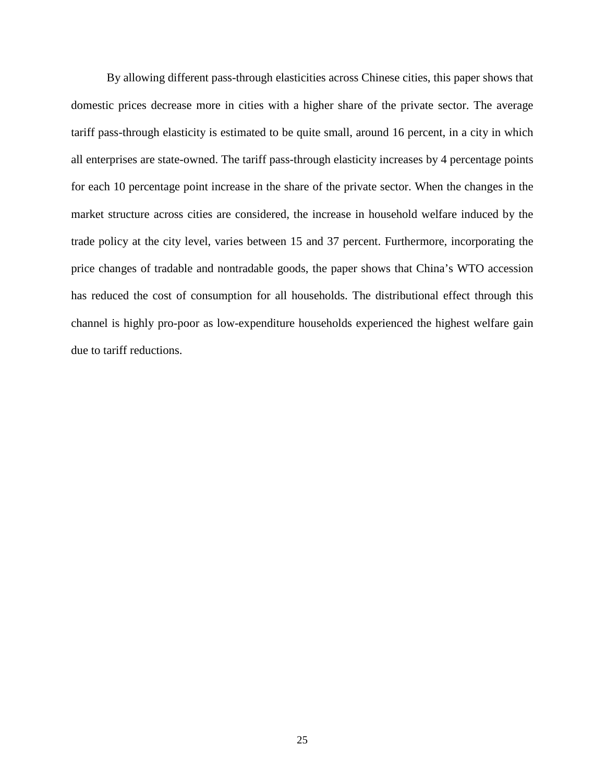By allowing different pass-through elasticities across Chinese cities, this paper shows that domestic prices decrease more in cities with a higher share of the private sector. The average tariff pass-through elasticity is estimated to be quite small, around 16 percent, in a city in which all enterprises are state-owned. The tariff pass-through elasticity increases by 4 percentage points for each 10 percentage point increase in the share of the private sector. When the changes in the market structure across cities are considered, the increase in household welfare induced by the trade policy at the city level, varies between 15 and 37 percent. Furthermore, incorporating the price changes of tradable and nontradable goods, the paper shows that China's WTO accession has reduced the cost of consumption for all households. The distributional effect through this channel is highly pro-poor as low-expenditure households experienced the highest welfare gain due to tariff reductions.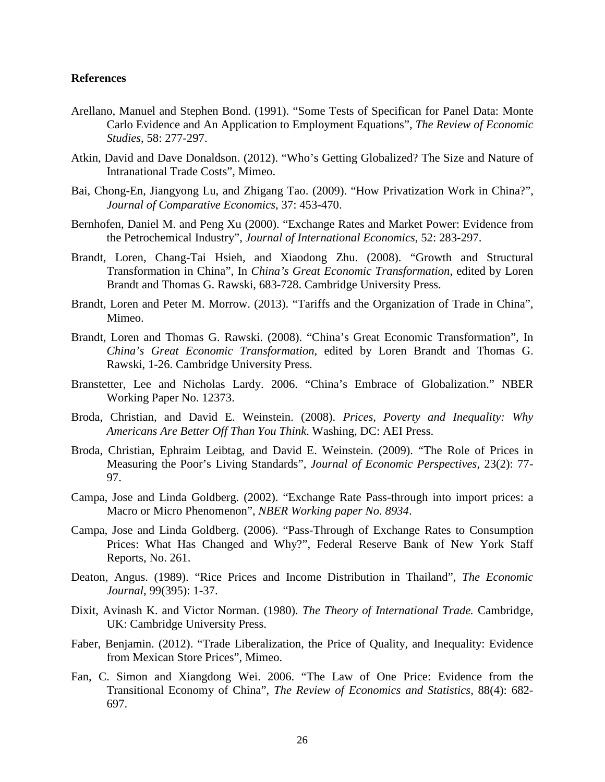## **References**

- Arellano, Manuel and Stephen Bond. (1991). "Some Tests of Specifican for Panel Data: Monte Carlo Evidence and An Application to Employment Equations", *The Review of Economic Studies*, 58: 277-297.
- Atkin, David and Dave Donaldson. (2012). "Who's Getting Globalized? The Size and Nature of Intranational Trade Costs", Mimeo.
- Bai, Chong-En, Jiangyong Lu, and Zhigang Tao. (2009). "How Privatization Work in China?", *Journal of Comparative Economics*, 37: 453-470.
- Bernhofen, Daniel M. and Peng Xu (2000). "Exchange Rates and Market Power: Evidence from the Petrochemical Industry", *Journal of International Economics*, 52: 283-297.
- Brandt, Loren, Chang-Tai Hsieh, and Xiaodong Zhu. (2008). "Growth and Structural Transformation in China", In *China's Great Economic Transformation*, edited by Loren Brandt and Thomas G. Rawski, 683-728. Cambridge University Press.
- Brandt, Loren and Peter M. Morrow. (2013). "Tariffs and the Organization of Trade in China", Mimeo.
- Brandt, Loren and Thomas G. Rawski. (2008). "China's Great Economic Transformation", In *China's Great Economic Transformation*, edited by Loren Brandt and Thomas G. Rawski, 1-26. Cambridge University Press.
- Branstetter, Lee and Nicholas Lardy. 2006. "China's Embrace of Globalization." NBER Working Paper No. 12373.
- Broda, Christian, and David E. Weinstein. (2008). *Prices, Poverty and Inequality: Why Americans Are Better Off Than You Think*. Washing, DC: AEI Press.
- Broda, Christian, Ephraim Leibtag, and David E. Weinstein. (2009). "The Role of Prices in Measuring the Poor's Living Standards", *Journal of Economic Perspectives*, 23(2): 77- 97.
- Campa, Jose and Linda Goldberg. (2002). "Exchange Rate Pass-through into import prices: a Macro or Micro Phenomenon", *NBER Working paper No. 8934*.
- Campa, Jose and Linda Goldberg. (2006). "Pass-Through of Exchange Rates to Consumption Prices: What Has Changed and Why?", Federal Reserve Bank of New York Staff Reports, No. 261.
- Deaton, Angus. (1989). "Rice Prices and Income Distribution in Thailand", *The Economic Journal*, 99(395): 1-37.
- Dixit, Avinash K. and Victor Norman. (1980). *The Theory of International Trade.* Cambridge, UK: Cambridge University Press.
- Faber, Benjamin. (2012). "Trade Liberalization, the Price of Quality, and Inequality: Evidence from Mexican Store Prices", Mimeo.
- Fan, C. Simon and Xiangdong Wei. 2006. "The Law of One Price: Evidence from the Transitional Economy of China", *The Review of Economics and Statistics*, 88(4): 682- 697.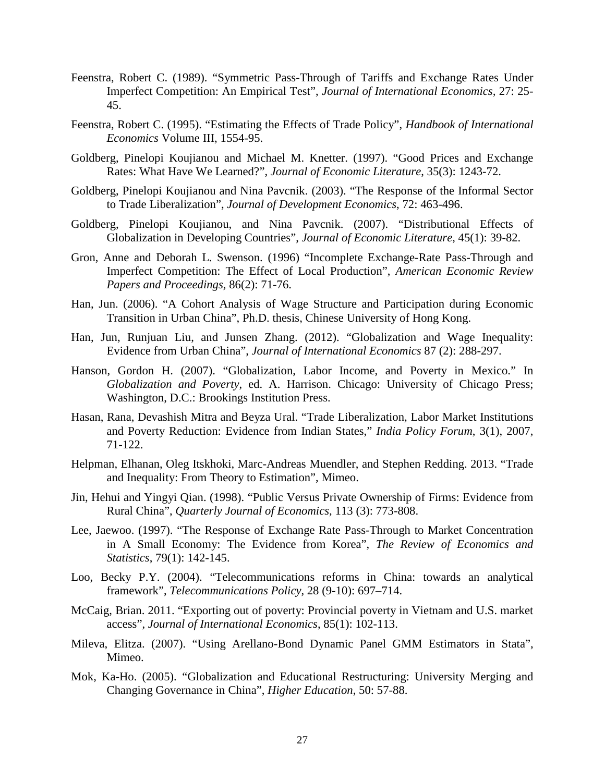- Feenstra, Robert C. (1989). "Symmetric Pass-Through of Tariffs and Exchange Rates Under Imperfect Competition: An Empirical Test", *Journal of International Economics,* 27: 25- 45.
- Feenstra, Robert C. (1995). "Estimating the Effects of Trade Policy", *Handbook of International Economics* Volume III, 1554-95.
- Goldberg, Pinelopi Koujianou and Michael M. Knetter. (1997). "Good Prices and Exchange Rates: What Have We Learned?", *Journal of Economic Literature*, 35(3): 1243-72.
- Goldberg, Pinelopi Koujianou and Nina Pavcnik. (2003). "The Response of the Informal Sector to Trade Liberalization", *Journal of Development Economics*, 72: 463-496.
- Goldberg, Pinelopi Koujianou, and Nina Pavcnik. (2007). "Distributional Effects of Globalization in Developing Countries", *Journal of Economic Literature*, 45(1): 39-82.
- Gron, Anne and Deborah L. Swenson. (1996) "Incomplete Exchange-Rate Pass-Through and Imperfect Competition: The Effect of Local Production", *American Economic Review Papers and Proceedings,* 86(2): 71-76.
- Han, Jun. (2006). "A Cohort Analysis of Wage Structure and Participation during Economic Transition in Urban China", Ph.D. thesis, Chinese University of Hong Kong.
- Han, Jun, Runjuan Liu, and Junsen Zhang. (2012). "Globalization and Wage Inequality: Evidence from Urban China", *Journal of International Economics* 87 (2): 288-297.
- Hanson, Gordon H. (2007). "Globalization, Labor Income, and Poverty in Mexico." In *Globalization and Poverty*, ed. A. Harrison. Chicago: University of Chicago Press; Washington, D.C.: Brookings Institution Press.
- Hasan, Rana, Devashish Mitra and Beyza Ural. "Trade Liberalization, Labor Market Institutions and Poverty Reduction: Evidence from Indian States," *India Policy Forum*, 3(1), 2007, 71-122.
- Helpman, Elhanan, Oleg Itskhoki, Marc-Andreas Muendler, and Stephen Redding. 2013. "Trade and Inequality: From Theory to Estimation", Mimeo.
- Jin, Hehui and Yingyi Qian. (1998). "Public Versus Private Ownership of Firms: Evidence from Rural China", *Quarterly Journal of Economics,* 113 (3): 773-808.
- Lee, Jaewoo. (1997). "The Response of Exchange Rate Pass-Through to Market Concentration in A Small Economy: The Evidence from Korea", *The Review of Economics and Statistics*, 79(1): 142-145.
- Loo, Becky P.Y. (2004). "Telecommunications reforms in China: towards an analytical framework", *Telecommunications Policy*, 28 (9-10): 697–714.
- McCaig, Brian. 2011. "Exporting out of poverty: Provincial poverty in Vietnam and U.S. market access", *Journal of International Economics*, 85(1): 102-113.
- Mileva, Elitza. (2007). "Using Arellano-Bond Dynamic Panel GMM Estimators in Stata", Mimeo.
- Mok, Ka-Ho. (2005). "Globalization and Educational Restructuring: University Merging and Changing Governance in China", *Higher Education*, 50: 57-88.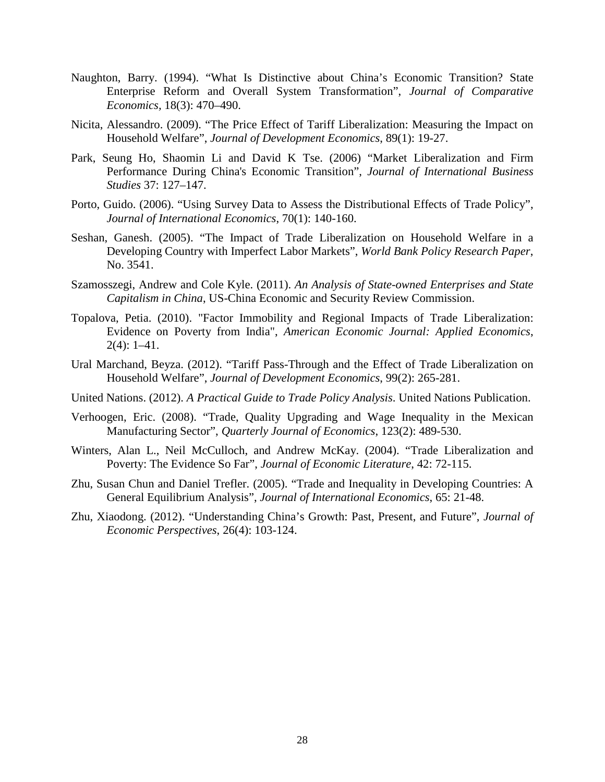- Naughton, Barry. (1994). "What Is Distinctive about China's Economic Transition? State Enterprise Reform and Overall System Transformation", *Journal of Comparative Economics,* 18(3): 470–490.
- Nicita, Alessandro. (2009). "The Price Effect of Tariff Liberalization: Measuring the Impact on Household Welfare", *Journal of Development Economics*, 89(1): 19-27.
- Park, Seung Ho, Shaomin Li and David K Tse. (2006) "Market Liberalization and Firm Performance During China's Economic Transition", *Journal of International Business Studies* 37: 127–147.
- Porto, Guido. (2006). "Using Survey Data to Assess the Distributional Effects of Trade Policy", *Journal of International Economics*, 70(1): 140-160.
- Seshan, Ganesh. (2005). "The Impact of Trade Liberalization on Household Welfare in a Developing Country with Imperfect Labor Markets", *World Bank Policy Research Paper*, No. 3541.
- Szamosszegi, Andrew and Cole Kyle. (2011). *An Analysis of State-owned Enterprises and State Capitalism in China*, US-China Economic and Security Review Commission.
- Topalova, Petia. (2010). "Factor Immobility and Regional Impacts of Trade Liberalization: Evidence on Poverty from India", *American Economic Journal: Applied Economics*, 2(4): 1–41.
- Ural Marchand, Beyza. (2012). "Tariff Pass-Through and the Effect of Trade Liberalization on Household Welfare", *Journal of Development Economics*, 99(2): 265-281.
- United Nations. (2012). *A Practical Guide to Trade Policy Analysis*. United Nations Publication.
- Verhoogen, Eric. (2008). "Trade, Quality Upgrading and Wage Inequality in the Mexican Manufacturing Sector", *Quarterly Journal of Economics*, 123(2): 489-530.
- Winters, Alan L., Neil McCulloch, and Andrew McKay. (2004). "Trade Liberalization and Poverty: The Evidence So Far", *Journal of Economic Literature*, 42: 72-115.
- Zhu, Susan Chun and Daniel Trefler. (2005). "Trade and Inequality in Developing Countries: A General Equilibrium Analysis", *Journal of International Economics*, 65: 21-48.
- Zhu, Xiaodong. (2012). "Understanding China's Growth: Past, Present, and Future", *Journal of Economic Perspectives*, 26(4): 103-124.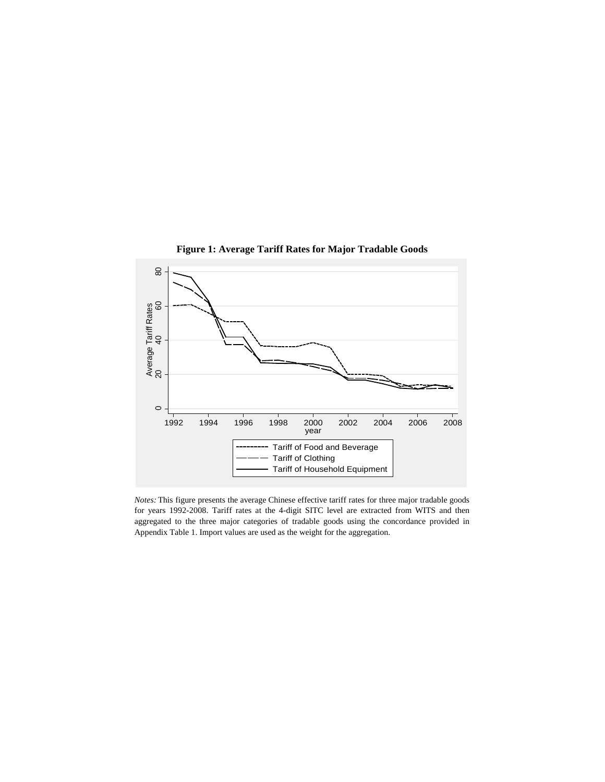

**Figure 1: Average Tariff Rates for Major Tradable Goods**

*Notes:* This figure presents the average Chinese effective tariff rates for three major tradable goods for years 1992-2008. Tariff rates at the 4-digit SITC level are extracted from WITS and then aggregated to the three major categories of tradable goods using the concordance provided in Appendix Table 1. Import values are used as the weight for the aggregation.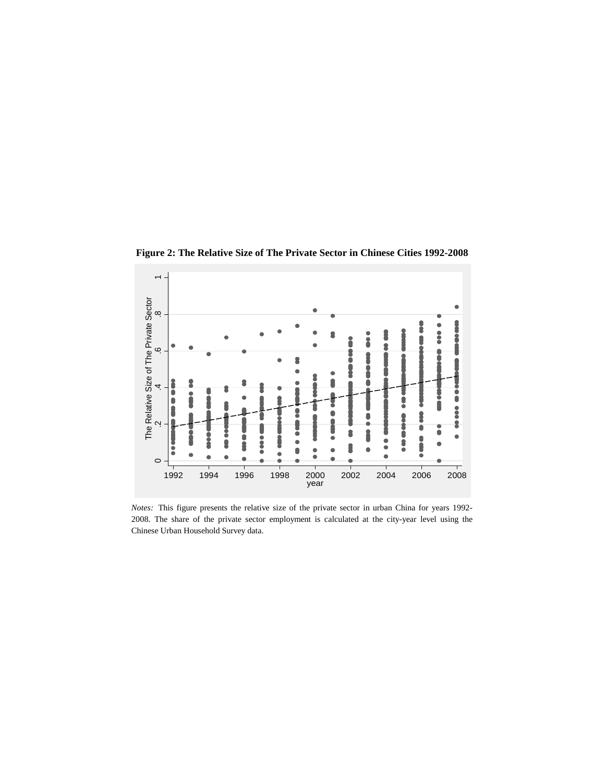

**Figure 2: The Relative Size of The Private Sector in Chinese Cities 1992-2008**

*Notes:* This figure presents the relative size of the private sector in urban China for years 1992- 2008. The share of the private sector employment is calculated at the city-year level using the Chinese Urban Household Survey data.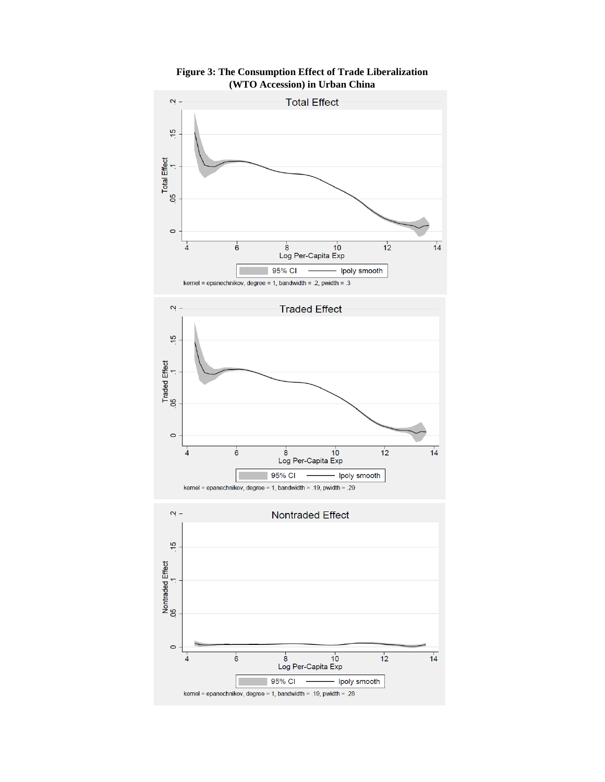

**Figure 3: The Consumption Effect of Trade Liberalization (WTO Accession) in Urban China**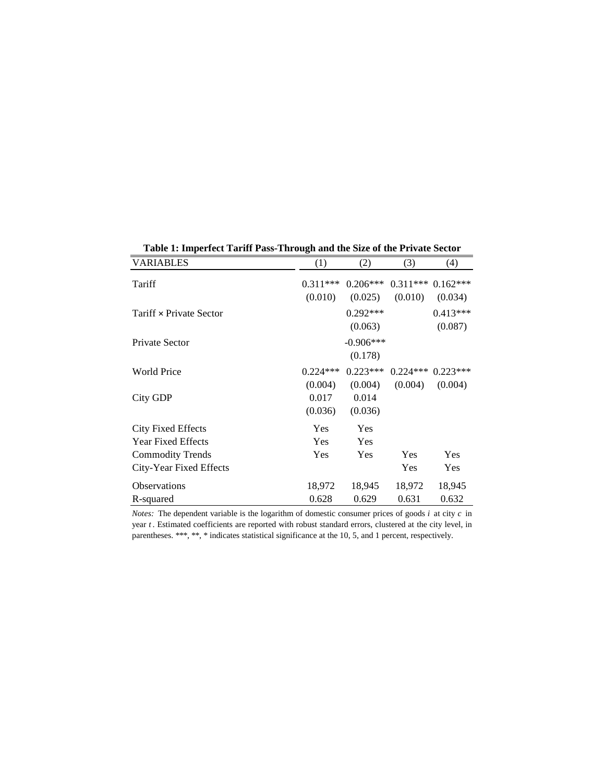| <b>VARIABLES</b>                                       | (1)                         | (2)                               | (3)             | (4)                   |
|--------------------------------------------------------|-----------------------------|-----------------------------------|-----------------|-----------------------|
| Tariff                                                 | $0.311***$                  | $0.206***$                        | $0.311***$      | $0.162***$            |
| Tariff × Private Sector                                | (0.010)                     | (0.025)<br>$0.292***$             | (0.010)         | (0.034)<br>$0.413***$ |
| Private Sector                                         |                             | (0.063)<br>$-0.906***$<br>(0.178) |                 | (0.087)               |
| <b>World Price</b>                                     | $0.224***$                  | $0.223***$                        | $0.224***$      | $0.223***$            |
| City GDP                                               | (0.004)<br>0.017<br>(0.036) | (0.004)<br>0.014<br>(0.036)       | (0.004)         | (0.004)               |
| <b>City Fixed Effects</b><br><b>Year Fixed Effects</b> | Yes<br>Yes                  | Yes<br>Yes                        |                 |                       |
| <b>Commodity Trends</b><br>City-Year Fixed Effects     | Yes                         | Yes                               | Yes<br>Yes      | Yes<br>Yes            |
| Observations<br>R-squared                              | 18,972<br>0.628             | 18,945<br>0.629                   | 18,972<br>0.631 | 18,945<br>0.632       |

**Table 1: Imperfect Tariff Pass-Through and the Size of the Private Sector**

*Notes:* The dependent variable is the logarithm of domestic consumer prices of goods *i* at city *c* in year *t* . Estimated coefficients are reported with robust standard errors, clustered at the city level, in parentheses. \*\*\*, \*\*, \* indicates statistical significance at the 10, 5, and 1 percent, respectively.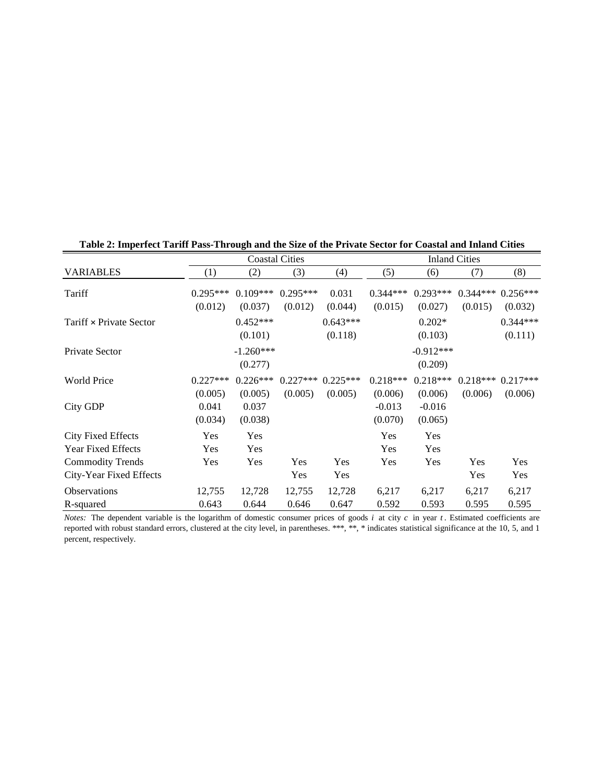|                           |                             | <b>Inland Cities</b>        |                       |                  |                                |                                |                       |                       |
|---------------------------|-----------------------------|-----------------------------|-----------------------|------------------|--------------------------------|--------------------------------|-----------------------|-----------------------|
| <b>VARIABLES</b>          | (1)                         | (2)                         | (3)                   | (4)              | (5)                            | (6)                            | (7)                   | (8)                   |
| Tariff                    | $0.295***$<br>(0.012)       | $0.109***$<br>(0.037)       | $0.295***$<br>(0.012) | 0.031<br>(0.044) | $0.344***$<br>(0.015)          | $0.293***$<br>(0.027)          | $0.344***$<br>(0.015) | $0.256***$<br>(0.032) |
| Tariff × Private Sector   |                             | $0.452***$                  |                       | $0.643***$       |                                | $0.202*$                       |                       | $0.344***$            |
|                           |                             | (0.101)                     |                       | (0.118)          |                                | (0.103)                        |                       | (0.111)               |
| Private Sector            |                             | $-1.260***$                 |                       |                  |                                | $-0.912***$                    |                       |                       |
|                           |                             | (0.277)                     |                       |                  |                                | (0.209)                        |                       |                       |
| <b>World Price</b>        | $0.227***$                  | $0.226***$                  | $0.227***$            | $0.225***$       | $0.218***$                     | $0.218***$                     | $0.218***$            | $0.217***$            |
| City GDP                  | (0.005)<br>0.041<br>(0.034) | (0.005)<br>0.037<br>(0.038) | (0.005)               | (0.005)          | (0.006)<br>$-0.013$<br>(0.070) | (0.006)<br>$-0.016$<br>(0.065) | (0.006)               | (0.006)               |
| <b>City Fixed Effects</b> | Yes                         | Yes                         |                       |                  | Yes                            | Yes                            |                       |                       |
| <b>Year Fixed Effects</b> | Yes                         | Yes                         |                       |                  | Yes                            | Yes                            |                       |                       |
| <b>Commodity Trends</b>   | Yes                         | Yes                         | Yes                   | Yes              | Yes                            | Yes                            | Yes                   | Yes                   |
| City-Year Fixed Effects   |                             |                             | Yes                   | Yes              |                                |                                | Yes                   | Yes                   |
| <b>Observations</b>       | 12,755                      | 12,728                      | 12,755                | 12,728           | 6,217                          | 6,217                          | 6,217                 | 6,217                 |
| R-squared                 | 0.643                       | 0.644                       | 0.646                 | 0.647            | 0.592                          | 0.593                          | 0.595                 | 0.595                 |

**Table 2: Imperfect Tariff Pass-Through and the Size of the Private Sector for Coastal and Inland Cities**

*Notes:* The dependent variable is the logarithm of domestic consumer prices of goods *i* at city *c* in year *t* . Estimated coefficients are reported with robust standard errors, clustered at the city level, in parentheses. \*\*\*, \*\*, \* indicates statistical significance at the 10, 5, and 1 percent, respectively.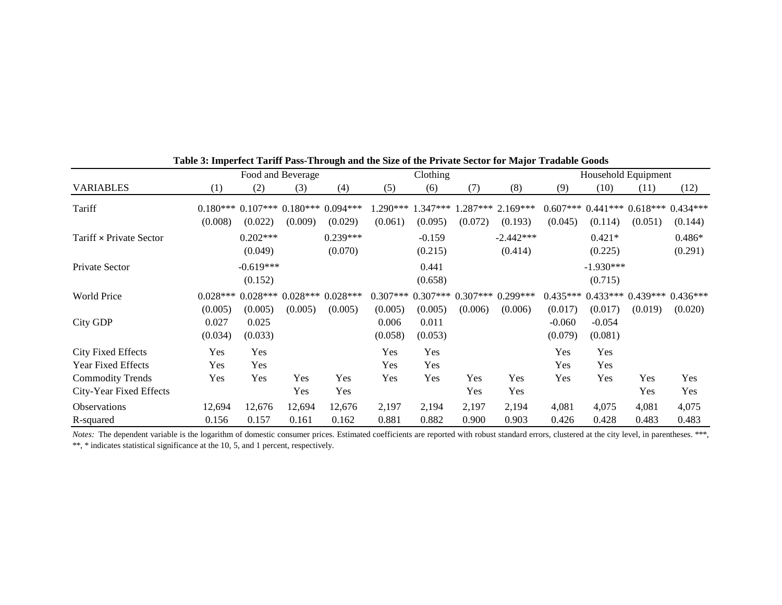|                                  | Food and Beverage           |                                                        |                 | Clothing              |                             |                             |                | Household Equipment           |                                |                                |                |                                             |
|----------------------------------|-----------------------------|--------------------------------------------------------|-----------------|-----------------------|-----------------------------|-----------------------------|----------------|-------------------------------|--------------------------------|--------------------------------|----------------|---------------------------------------------|
| <b>VARIABLES</b>                 | (1)                         | (2)                                                    | (3)             | (4)                   | (5)                         | (6)                         | (7)            | (8)                           | (9)                            | (10)                           | (11)           | (12)                                        |
| Tariff                           | (0.008)                     | $0.180***$ $0.107***$ $0.180***$ $0.094***$<br>(0.022) | (0.009)         | (0.029)               | $1.290***$<br>(0.061)       | $1.347***$<br>(0.095)       | (0.072)        | $.287***$ 2.169***<br>(0.193) | $0.607***$<br>(0.045)          | (0.114)                        | (0.051)        | $0.441***$ $0.618***$ $0.434***$<br>(0.144) |
| Tariff × Private Sector          |                             | $0.202***$<br>(0.049)                                  |                 | $0.239***$<br>(0.070) |                             | $-0.159$<br>(0.215)         |                | $-2.442***$<br>(0.414)        |                                | $0.421*$<br>(0.225)            |                | $0.486*$<br>(0.291)                         |
| Private Sector                   |                             | $-0.619***$<br>(0.152)                                 |                 |                       |                             | 0.441<br>(0.658)            |                |                               |                                | $-1.930***$<br>(0.715)         |                |                                             |
| <b>World Price</b>               | $0.028***$                  | $0.028***$                                             |                 | $0.028***0.028***$    | $0.307***$                  | $0.307***$                  |                | $0.307***$ 0.299***           | $0.435***$                     |                                |                | $0.433***$ $0.439***$ $0.436***$            |
| <b>City GDP</b>                  | (0.005)<br>0.027<br>(0.034) | (0.005)<br>0.025<br>(0.033)                            | (0.005)         | (0.005)               | (0.005)<br>0.006<br>(0.058) | (0.005)<br>0.011<br>(0.053) | (0.006)        | (0.006)                       | (0.017)<br>$-0.060$<br>(0.079) | (0.017)<br>$-0.054$<br>(0.081) | (0.019)        | (0.020)                                     |
| <b>City Fixed Effects</b>        | Yes                         | Yes                                                    |                 |                       | Yes                         | Yes                         |                |                               | Yes                            | Yes                            |                |                                             |
| <b>Year Fixed Effects</b>        | Yes                         | Yes                                                    |                 |                       | Yes                         | Yes                         |                |                               | Yes                            | Yes                            |                |                                             |
| <b>Commodity Trends</b>          | Yes                         | Yes                                                    | Yes             | Yes                   | Yes                         | Yes                         | Yes            | Yes                           | Yes                            | Yes                            | Yes            | Yes                                         |
| City-Year Fixed Effects          |                             |                                                        | Yes             | Yes                   |                             |                             | Yes            | Yes                           |                                |                                | Yes            | Yes                                         |
| <b>Observations</b><br>R-squared | 12,694<br>0.156             | 12,676<br>0.157                                        | 12,694<br>0.161 | 12,676<br>0.162       | 2,197<br>0.881              | 2,194<br>0.882              | 2,197<br>0.900 | 2,194<br>0.903                | 4,081<br>0.426                 | 4,075<br>0.428                 | 4,081<br>0.483 | 4,075<br>0.483                              |

**Table 3: Imperfect Tariff Pass-Through and the Size of the Private Sector for Major Tradable Goods**

*Notes:* The dependent variable is the logarithm of domestic consumer prices. Estimated coefficients are reported with robust standard errors, clustered at the city level, in parentheses. \*\*\*, \*\*, \* indicates statistical significance at the 10, 5, and 1 percent, respectively.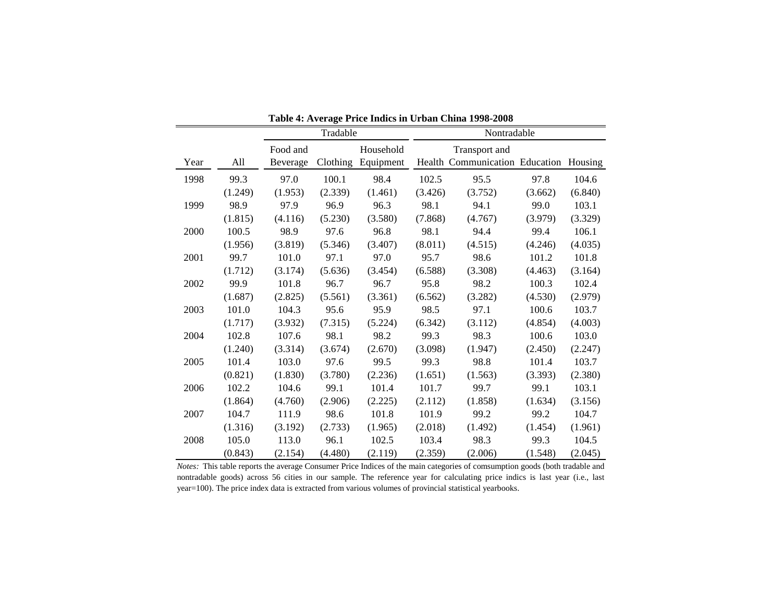|      |         |          | Tradable |                    |         | Nontradable                                             |         |         |
|------|---------|----------|----------|--------------------|---------|---------------------------------------------------------|---------|---------|
|      |         | Food and |          | Household          |         |                                                         |         |         |
| Year | All     | Beverage |          | Clothing Equipment |         | Transport and<br>Health Communication Education Housing |         |         |
| 1998 | 99.3    | 97.0     | 100.1    | 98.4               | 102.5   | 95.5                                                    | 97.8    | 104.6   |
|      | (1.249) | (1.953)  | (2.339)  | (1.461)            | (3.426) | (3.752)                                                 | (3.662) | (6.840) |
| 1999 | 98.9    | 97.9     | 96.9     | 96.3               | 98.1    | 94.1                                                    | 99.0    | 103.1   |
|      | (1.815) | (4.116)  | (5.230)  | (3.580)            | (7.868) | (4.767)                                                 | (3.979) | (3.329) |
| 2000 | 100.5   | 98.9     | 97.6     | 96.8               | 98.1    | 94.4                                                    | 99.4    | 106.1   |
|      | (1.956) | (3.819)  | (5.346)  | (3.407)            | (8.011) | (4.515)                                                 | (4.246) | (4.035) |
| 2001 | 99.7    | 101.0    | 97.1     | 97.0               | 95.7    | 98.6                                                    | 101.2   | 101.8   |
|      | (1.712) | (3.174)  | (5.636)  | (3.454)            | (6.588) | (3.308)                                                 | (4.463) | (3.164) |
| 2002 | 99.9    | 101.8    | 96.7     | 96.7               | 95.8    | 98.2                                                    | 100.3   | 102.4   |
|      | (1.687) | (2.825)  | (5.561)  | (3.361)            | (6.562) | (3.282)                                                 | (4.530) | (2.979) |
| 2003 | 101.0   | 104.3    | 95.6     | 95.9               | 98.5    | 97.1                                                    | 100.6   | 103.7   |
|      | (1.717) | (3.932)  | (7.315)  | (5.224)            | (6.342) | (3.112)                                                 | (4.854) | (4.003) |
| 2004 | 102.8   | 107.6    | 98.1     | 98.2               | 99.3    | 98.3                                                    | 100.6   | 103.0   |
|      | (1.240) | (3.314)  | (3.674)  | (2.670)            | (3.098) | (1.947)                                                 | (2.450) | (2.247) |
| 2005 | 101.4   | 103.0    | 97.6     | 99.5               | 99.3    | 98.8                                                    | 101.4   | 103.7   |
|      | (0.821) | (1.830)  | (3.780)  | (2.236)            | (1.651) | (1.563)                                                 | (3.393) | (2.380) |
| 2006 | 102.2   | 104.6    | 99.1     | 101.4              | 101.7   | 99.7                                                    | 99.1    | 103.1   |
|      | (1.864) | (4.760)  | (2.906)  | (2.225)            | (2.112) | (1.858)                                                 | (1.634) | (3.156) |
| 2007 | 104.7   | 111.9    | 98.6     | 101.8              | 101.9   | 99.2                                                    | 99.2    | 104.7   |
|      | (1.316) | (3.192)  | (2.733)  | (1.965)            | (2.018) | (1.492)                                                 | (1.454) | (1.961) |
| 2008 | 105.0   | 113.0    | 96.1     | 102.5              | 103.4   | 98.3                                                    | 99.3    | 104.5   |
|      | (0.843) | (2.154)  | (4.480)  | (2.119)            | (2.359) | (2.006)                                                 | (1.548) | (2.045) |

**Table 4: Average Price Indics in Urban China 1998-2008**

*Notes:* This table reports the average Consumer Price Indices of the main categories of comsumption goods (both tradable and nontradable goods) across 56 cities in our sample. The reference year for calculating price indics is last year (i.e., last year=100). The price index data is extracted from various volumes of provincial statistical yearbooks.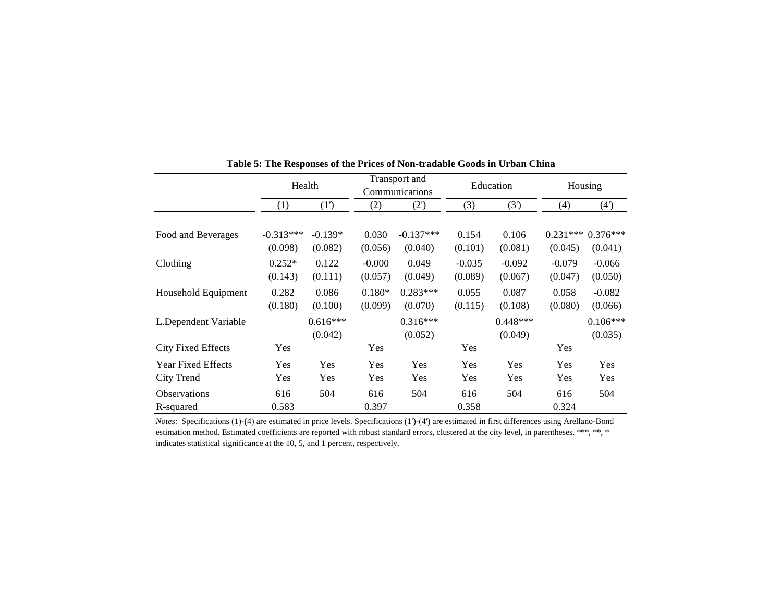|                           | Health      |            |          | Transport and<br>Communications |          | Education  | Housing    |            |  |
|---------------------------|-------------|------------|----------|---------------------------------|----------|------------|------------|------------|--|
|                           | (1)         | (1')       | (2)      | (2')                            | (3)      | (3')       | (4)        | (4)        |  |
|                           |             |            |          |                                 |          |            |            |            |  |
| Food and Beverages        | $-0.313***$ | $-0.139*$  | 0.030    | $-0.137***$                     | 0.154    | 0.106      | $0.231***$ | $0.376***$ |  |
|                           | (0.098)     | (0.082)    | (0.056)  | (0.040)                         | (0.101)  | (0.081)    | (0.045)    | (0.041)    |  |
| Clothing                  | $0.252*$    | 0.122      | $-0.000$ | 0.049                           | $-0.035$ | $-0.092$   | $-0.079$   | $-0.066$   |  |
|                           | (0.143)     | (0.111)    | (0.057)  | (0.049)                         | (0.089)  | (0.067)    | (0.047)    | (0.050)    |  |
| Household Equipment       | 0.282       | 0.086      | $0.180*$ | $0.283***$                      | 0.055    | 0.087      | 0.058      | $-0.082$   |  |
|                           | (0.180)     | (0.100)    | (0.099)  | (0.070)                         | (0.115)  | (0.108)    | (0.080)    | (0.066)    |  |
| L.Dependent Variable      |             | $0.616***$ |          | $0.316***$                      |          | $0.448***$ |            | $0.106***$ |  |
|                           |             | (0.042)    |          | (0.052)                         |          | (0.049)    |            | (0.035)    |  |
| <b>City Fixed Effects</b> | Yes         |            | Yes      |                                 | Yes      |            | Yes        |            |  |
| <b>Year Fixed Effects</b> | Yes         | Yes        | Yes      | Yes                             | Yes      | Yes        | Yes        | Yes        |  |
| City Trend                | Yes         | Yes        | Yes      | Yes                             | Yes      | Yes        | Yes        | Yes        |  |
| <b>Observations</b>       | 616         | 504        | 616      | 504                             | 616      | 504        | 616        | 504        |  |
| R-squared                 | 0.583       |            | 0.397    |                                 | 0.358    |            | 0.324      |            |  |

**Table 5: The Responses of the Prices of Non-tradable Goods in Urban China**

*Notes:* Specifications (1)-(4) are estimated in price levels. Specifications (1')-(4') are estimated in first differences using Arellano-Bond estimation method. Estimated coefficients are reported with robust standard errors, clustered at the city level, in parentheses. \*\*\*, \*\*, \* indicates statistical significance at the 10, 5, and 1 percent, respectively.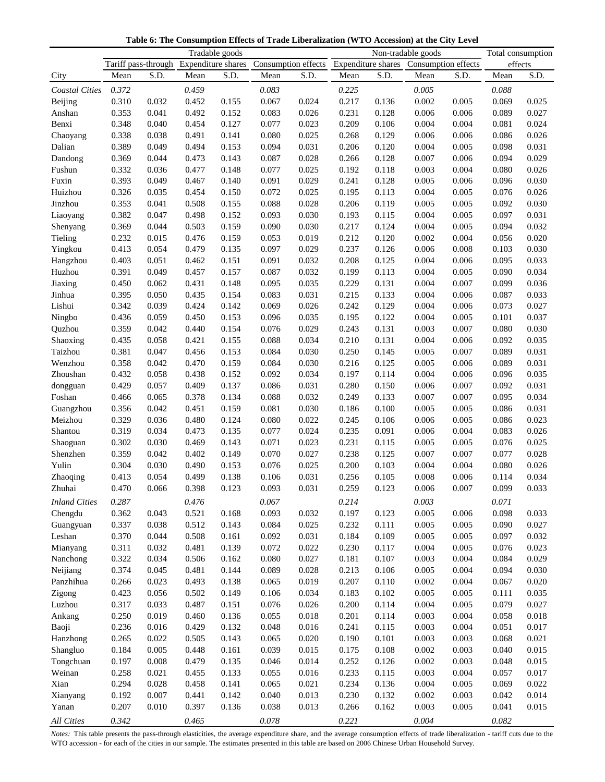**Table 6: The Consumption Effects of Trade Liberalization (WTO Accession) at the City Level**

|                       | Tradable goods |                |                                        |                |                |                                                            | Non-tradable goods |                |                |                | Total consumption |                |
|-----------------------|----------------|----------------|----------------------------------------|----------------|----------------|------------------------------------------------------------|--------------------|----------------|----------------|----------------|-------------------|----------------|
|                       |                |                | Tariff pass-through Expenditure shares |                |                | Consumption effects Expenditure shares Consumption effects |                    |                |                |                | effects           |                |
| City                  | Mean           | S.D.           | Mean                                   | S.D.           | Mean           | S.D.                                                       | Mean               | S.D.           | Mean           | S.D.           | Mean              | S.D.           |
| <b>Coastal Cities</b> | 0.372          |                | 0.459                                  |                | 0.083          |                                                            | 0.225              |                | 0.005          |                | 0.088             |                |
| Beijing               | 0.310          | 0.032          | 0.452                                  | 0.155          | 0.067          | 0.024                                                      | 0.217              | 0.136          | 0.002          | 0.005          | 0.069             | 0.025          |
| Anshan                | 0.353          | 0.041          | 0.492                                  | 0.152          | 0.083          | 0.026                                                      | 0.231              | 0.128          | 0.006          | 0.006          | 0.089             | 0.027          |
| Benxi                 | 0.348          | 0.040          | 0.454                                  | 0.127          | 0.077          | 0.023                                                      | 0.209              | 0.106          | 0.004          | 0.004          | 0.081             | 0.024          |
| Chaoyang              | 0.338          | 0.038          | 0.491                                  | 0.141          | 0.080          | 0.025                                                      | 0.268              | 0.129          | 0.006          | 0.006          | 0.086             | 0.026          |
| Dalian                | 0.389          | 0.049          | 0.494                                  | 0.153          | 0.094          | 0.031                                                      | 0.206              | 0.120          | 0.004          | 0.005          | 0.098             | 0.031          |
| Dandong               | 0.369          | 0.044          | 0.473                                  | 0.143          | 0.087          | 0.028                                                      | 0.266              | 0.128          | 0.007          | 0.006          | 0.094             | 0.029          |
| Fushun                | 0.332          | 0.036          | 0.477                                  | 0.148          | 0.077          | 0.025                                                      | 0.192              | 0.118          | 0.003          | 0.004          | 0.080             | 0.026          |
| Fuxin                 | 0.393          | 0.049          | 0.467                                  | 0.140          | 0.091          | 0.029                                                      | 0.241              | 0.128          | 0.005          | 0.006          | 0.096             | 0.030          |
| Huizhou               | 0.326          | 0.035          | 0.454                                  | 0.150          | 0.072          | 0.025                                                      | 0.195              | 0.113          | 0.004          | 0.005          | 0.076             | 0.026          |
| Jinzhou               | 0.353          | 0.041          | 0.508                                  | 0.155          | 0.088          | 0.028                                                      | 0.206              | 0.119          | 0.005          | 0.005          | 0.092             | 0.030          |
| Liaoyang              | 0.382          | 0.047          | 0.498                                  | 0.152          | 0.093          | 0.030                                                      | 0.193              | 0.115          | 0.004          | 0.005          | 0.097             | 0.031          |
| Shenyang              | 0.369          | 0.044          | 0.503                                  | 0.159          | 0.090          | 0.030                                                      | 0.217              | 0.124          | 0.004          | 0.005          | 0.094             | 0.032          |
| Tieling               | 0.232          | 0.015          | 0.476                                  | 0.159          | 0.053          | 0.019                                                      | 0.212              | 0.120          | 0.002          | 0.004          | 0.056             | 0.020          |
| Yingkou               | 0.413          | 0.054          | 0.479                                  | 0.135          | 0.097          | 0.029                                                      | 0.237              | 0.126          | 0.006          | 0.008          | 0.103             | 0.030          |
|                       | 0.403          | 0.051          | 0.462                                  | 0.151          | 0.091          | 0.032                                                      | 0.208              | 0.125          | 0.004          | 0.006          | 0.095             | 0.033          |
| Hangzhou<br>Huzhou    | 0.391          | 0.049          | 0.457                                  | 0.157          | 0.087          | 0.032                                                      | 0.199              | 0.113          | 0.004          | 0.005          | 0.090             | 0.034          |
|                       | 0.450          | 0.062          | 0.431                                  | 0.148          | 0.095          | 0.035                                                      | 0.229              | 0.131          | 0.004          | 0.007          | 0.099             | 0.036          |
| Jiaxing<br>Jinhua     | 0.395          | 0.050          | 0.435                                  | 0.154          | 0.083          | 0.031                                                      | 0.215              | 0.133          | 0.004          | 0.006          | 0.087             | 0.033          |
| Lishui                | 0.342          | 0.039          | 0.424                                  | 0.142          | 0.069          | 0.026                                                      | 0.242              | 0.129          | 0.004          | 0.006          | 0.073             | 0.027          |
| Ningbo                | 0.436          | 0.059          | 0.450                                  | 0.153          | 0.096          | 0.035                                                      | 0.195              | 0.122          | 0.004          | 0.005          | 0.101             | 0.037          |
| Quzhou                | 0.359          | 0.042          | 0.440                                  | 0.154          | 0.076          | 0.029                                                      | 0.243              | 0.131          | 0.003          | 0.007          | 0.080             | 0.030          |
| Shaoxing              | 0.435          | 0.058          | 0.421                                  | 0.155          | 0.088          | 0.034                                                      | 0.210              | 0.131          | 0.004          | 0.006          | 0.092             | 0.035          |
| Taizhou               | 0.381          | 0.047          | 0.456                                  | 0.153          | 0.084          | 0.030                                                      | 0.250              | 0.145          | 0.005          | 0.007          | 0.089             | 0.031          |
| Wenzhou               | 0.358          | 0.042          | 0.470                                  | 0.159          | 0.084          | 0.030                                                      | 0.216              | 0.125          | 0.005          | 0.006          | 0.089             | 0.031          |
| Zhoushan              | 0.432          | 0.058          | 0.438                                  | 0.152          | 0.092          | 0.034                                                      | 0.197              | 0.114          | 0.004          | 0.006          | 0.096             | 0.035          |
|                       | 0.429          | 0.057          | 0.409                                  | 0.137          | 0.086          | 0.031                                                      | 0.280              | 0.150          | 0.006          | 0.007          | 0.092             | 0.031          |
| dongguan<br>Foshan    | 0.466          | 0.065          | 0.378                                  | 0.134          | 0.088          | 0.032                                                      | 0.249              | 0.133          | 0.007          | 0.007          | 0.095             | 0.034          |
| Guangzhou             | 0.356          | 0.042          | 0.451                                  | 0.159          | 0.081          | 0.030                                                      | 0.186              | 0.100          | 0.005          | 0.005          | 0.086             | 0.031          |
| Meizhou               | 0.329          | 0.036          | 0.480                                  | 0.124          | 0.080          | 0.022                                                      | 0.245              | 0.106          | 0.006          | 0.005          | 0.086             | 0.023          |
| Shantou               | 0.319          | 0.034          | 0.473                                  | 0.135          | 0.077          | 0.024                                                      | 0.235              | 0.091          | 0.006          | 0.004          | 0.083             | 0.026          |
| Shaoguan              | 0.302          | 0.030          | 0.469                                  | 0.143          | 0.071          | 0.023                                                      | 0.231              | 0.115          | 0.005          | 0.005          | 0.076             | 0.025          |
| Shenzhen              | 0.359          | 0.042          | 0.402                                  | 0.149          | 0.070          | 0.027                                                      | 0.238              | 0.125          | 0.007          | 0.007          | 0.077             | 0.028          |
| Yulin                 | 0.304          | 0.030          | 0.490                                  | 0.153          | 0.076          | 0.025                                                      | 0.200              | 0.103          | 0.004          | 0.004          | 0.080             | 0.026          |
| Zhaoqing              | 0.413          | 0.054          | 0.499                                  | 0.138          | 0.106          | 0.031                                                      | 0.256              | 0.105          | 0.008          | 0.006          | 0.114             | 0.034          |
| Zhuhai                | 0.470          | 0.066          | 0.398                                  | 0.123          | 0.093          | 0.031                                                      | 0.259              | 0.123          | 0.006          | 0.007          | 0.099             | 0.033          |
|                       |                |                |                                        |                |                |                                                            |                    |                |                |                |                   |                |
| <b>Inland Cities</b>  | 0.287          |                | 0.476                                  |                | 0.067          |                                                            | 0.214              |                | 0.003          |                | 0.071             |                |
| Chengdu               | 0.362          | 0.043          | 0.521                                  | 0.168          | 0.093          | 0.032                                                      | 0.197              | 0.123          | 0.005          | 0.006          | 0.098             | 0.033          |
| Guangyuan             | 0.337          | 0.038          | 0.512                                  | 0.143          | 0.084          | 0.025                                                      | 0.232              | 0.111          | 0.005          | 0.005          | 0.090             | 0.027          |
| Leshan                | 0.370          | 0.044          | 0.508                                  | 0.161          | 0.092          | 0.031                                                      | 0.184              | 0.109          | 0.005          | 0.005          | 0.097             | 0.032          |
| Mianyang              | 0.311          | 0.032          | 0.481                                  | 0.139          | 0.072          | 0.022                                                      | 0.230              | 0.117          | 0.004          | 0.005          | 0.076             | 0.023          |
| Nanchong              | 0.322          | 0.034          | 0.506                                  | 0.162          | 0.080<br>0.089 | 0.027                                                      | 0.181              | 0.107          | 0.003<br>0.005 | 0.004<br>0.004 | 0.084<br>0.094    | 0.029<br>0.030 |
| Neijiang              | 0.374          | 0.045<br>0.023 | 0.481<br>0.493                         | 0.144<br>0.138 | 0.065          | 0.028<br>0.019                                             | 0.213<br>0.207     | 0.106<br>0.110 | 0.002          | 0.004          | 0.067             | 0.020          |
| Panzhihua             | 0.266<br>0.423 | 0.056          | 0.502                                  | 0.149          | 0.106          | 0.034                                                      | 0.183              | 0.102          | 0.005          | 0.005          | 0.111             | 0.035          |
| Zigong<br>Luzhou      | 0.317          | 0.033          | 0.487                                  | 0.151          | 0.076          | 0.026                                                      | 0.200              | 0.114          | 0.004          | 0.005          | 0.079             | 0.027          |
|                       | 0.250          | 0.019          | 0.460                                  | 0.136          | 0.055          | 0.018                                                      | 0.201              |                | 0.003          | 0.004          | 0.058             | 0.018          |
| Ankang<br>Baoji       | 0.236          | 0.016          | 0.429                                  | 0.132          | 0.048          | 0.016                                                      | 0.241              | 0.114<br>0.115 | 0.003          | 0.004          | 0.051             | 0.017          |
|                       |                |                | 0.505                                  | 0.143          | 0.065          |                                                            | 0.190              | 0.101          | 0.003          | 0.003          | 0.068             | 0.021          |
| Hanzhong              | 0.265<br>0.184 | 0.022<br>0.005 | 0.448                                  | 0.161          | 0.039          | 0.020<br>0.015                                             | 0.175              | 0.108          | 0.002          | 0.003          | 0.040             | 0.015          |
| Shangluo              | 0.197          | 0.008          | 0.479                                  | 0.135          | 0.046          | 0.014                                                      | 0.252              | 0.126          | 0.002          | 0.003          | 0.048             | 0.015          |
| Tongchuan<br>Weinan   | 0.258          | 0.021          | 0.455                                  | 0.133          | 0.055          | 0.016                                                      | 0.233              | 0.115          | 0.003          | 0.004          | 0.057             | 0.017          |
| Xian                  | 0.294          | 0.028          | 0.458                                  | 0.141          | 0.065          | 0.021                                                      | 0.234              | 0.136          | 0.004          | 0.005          | 0.069             | 0.022          |
| Xianyang              | 0.192          | 0.007          | 0.441                                  | 0.142          | 0.040          | 0.013                                                      | 0.230              | 0.132          | 0.002          | 0.003          | 0.042             | 0.014          |
| Yanan                 | 0.207          | 0.010          | 0.397                                  | 0.136          | 0.038          | 0.013                                                      | 0.266              | 0.162          | 0.003          | 0.005          | 0.041             | 0.015          |
|                       |                |                |                                        |                |                |                                                            |                    |                |                |                |                   |                |
| All Cities            | 0.342          |                | 0.465                                  |                | $0.078\,$      |                                                            | 0.221              |                | 0.004          |                | 0.082             |                |

*Notes:* This table presents the pass-through elasticities, the average expenditure share, and the average consumption effects of trade liberalization - tariff cuts due to the WTO accession - for each of the cities in our sample. The estimates presented in this table are based on 2006 Chinese Urban Household Survey.